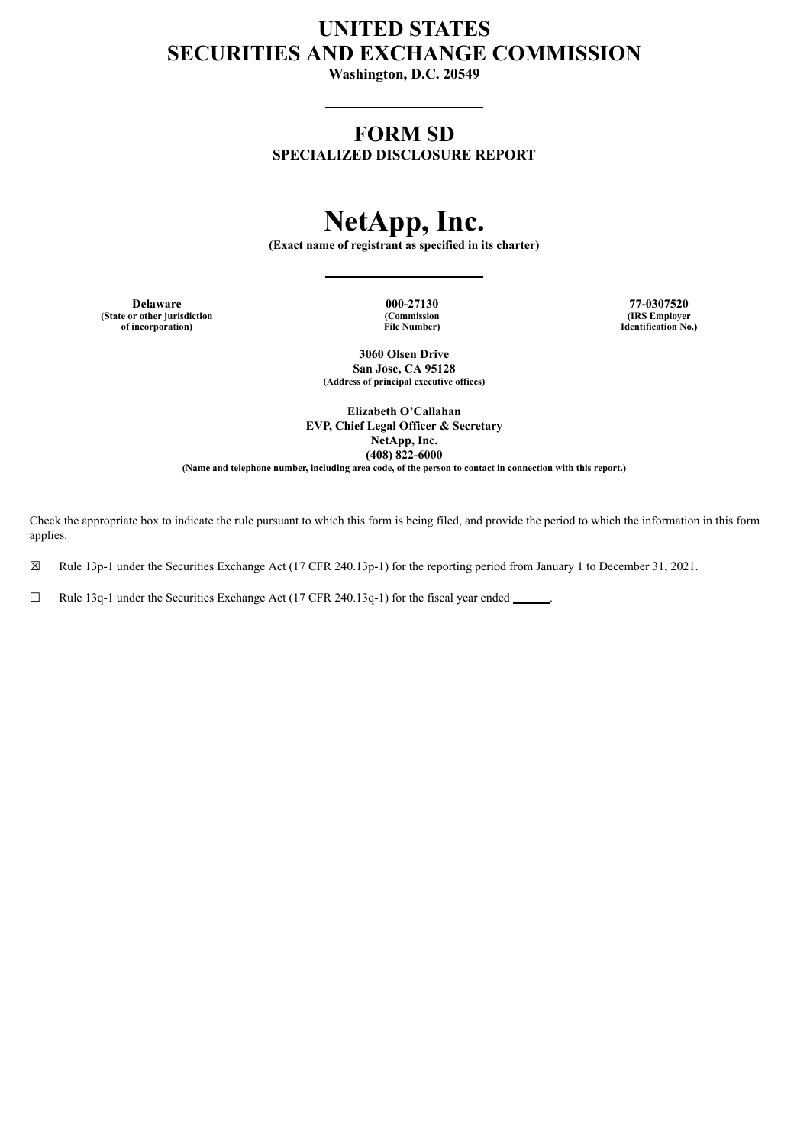# **UNITED STATES SECURITIES AND EXCHANGE COMMISSION**

**Washington, D.C. 20549**

## **FORM SD**

**SPECIALIZED DISCLOSURE REPORT**

# **NetApp, Inc.**

**(Exact name of registrant as specified in its charter)**

**(State or other jurisdiction of incorporation)**

**(Commission File Number)**

**Delaware 000-27130 77-0307520 (IRS Employer Identification No.)**

> **3060 Olsen Drive San Jose, CA 95128 (Address of principal executive offices)**

**Elizabeth O'Callahan EVP, Chief Legal Officer & Secretary NetApp, Inc. (408) 822-6000** (Name and telephone number, including area code, of the person to contact in connection with this report.)

Check the appropriate box to indicate the rule pursuant to which this form is being filed, and provide the period to which the information in this form applies:

☒ Rule 13p-1 under the Securities Exchange Act (17 CFR 240.13p-1) for the reporting period from January 1 to December 31, 2021.

☐ Rule 13q-1 under the Securities Exchange Act (17 CFR 240.13q-1) for the fiscal year ended .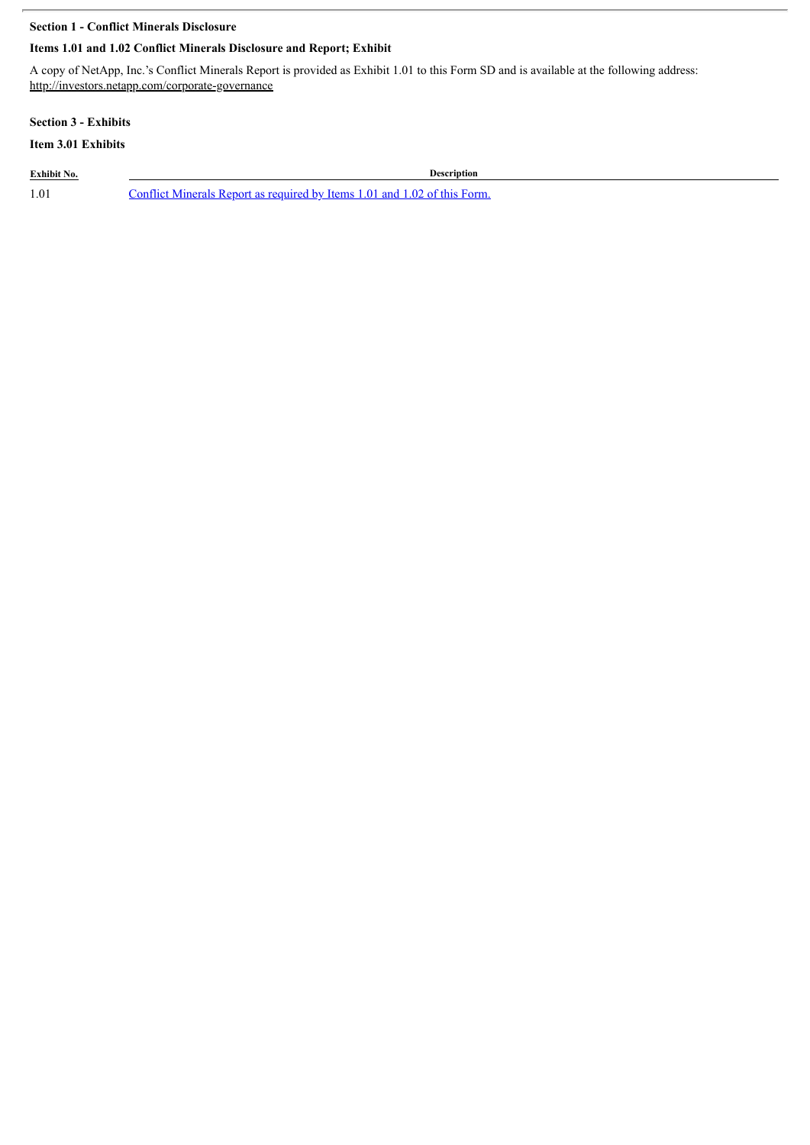## **Section 1 - Conflict Minerals Disclosure**

## **Items 1.01 and 1.02 Conflict Minerals Disclosure and Report; Exhibit**

A copy of NetApp, Inc.'s Conflict Minerals Report is provided as Exhibit 1.01 to this Form SD and is available at the following address: http://investors.netapp.com/corporate-governance

## **Section 3 - Exhibits**

## **Item 3.01 Exhibits**

**Exhibit No. Description**

1.01 Conflict [Minerals](#page-3-0) Report as required by Items 1.01 and 1.02 of this Form.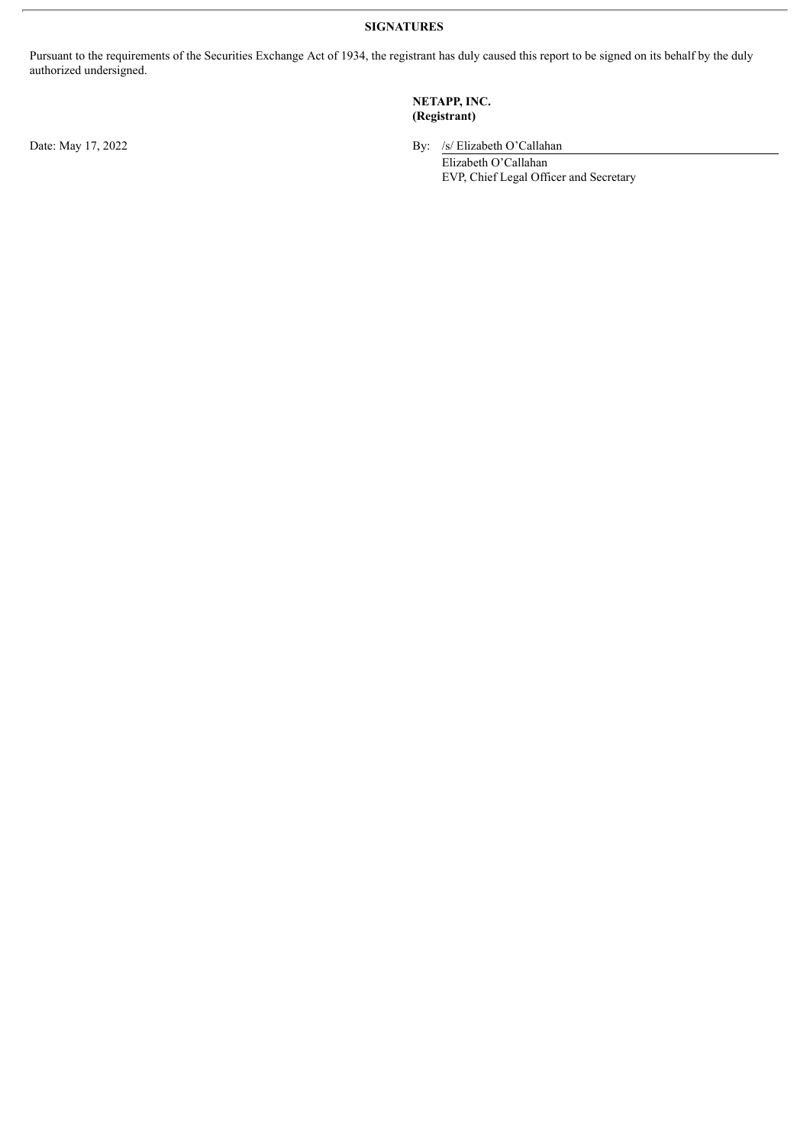**SIGNATURES**

Pursuant to the requirements of the Securities Exchange Act of 1934, the registrant has duly caused this report to be signed on its behalf by the duly authorized undersigned.

## **NETAPP, INC. (Registrant)**

Date: May 17, 2022 By: /s/ Elizabeth O'Callahan

Elizabeth O'Callahan EVP, Chief Legal Officer and Secretary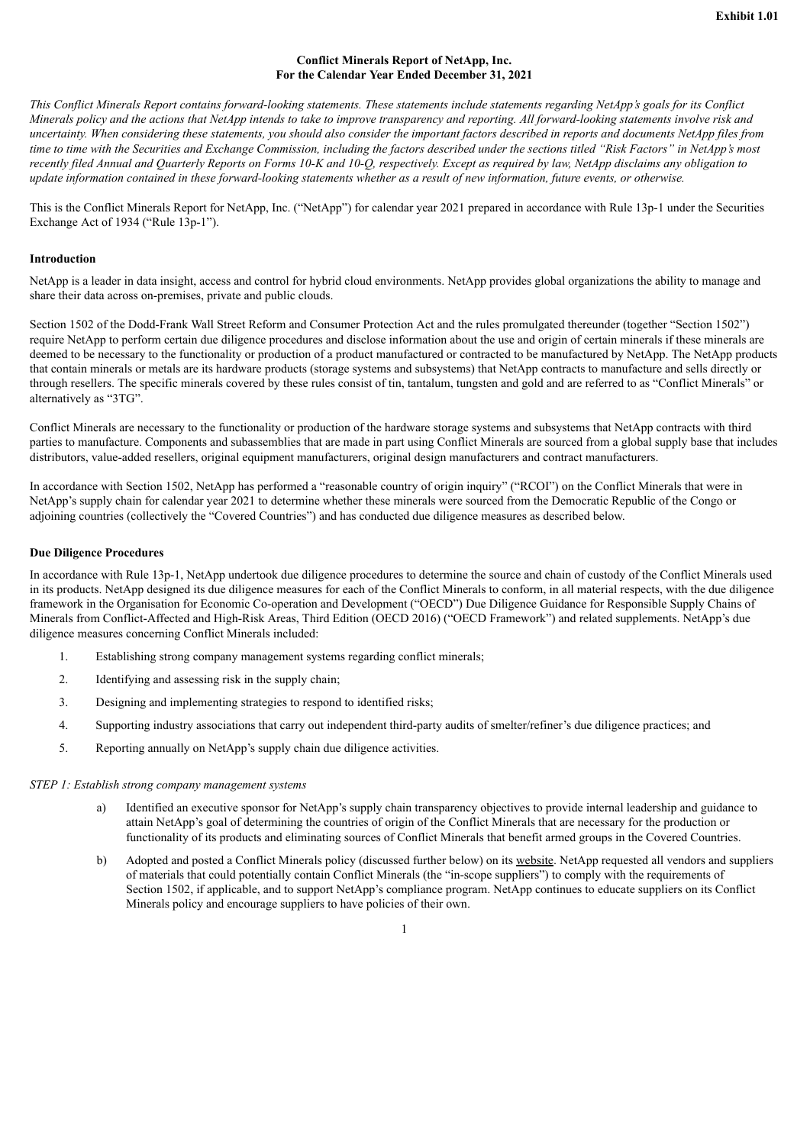#### **Conflict Minerals Report of NetApp, Inc. For the Calendar Year Ended December 31, 2021**

<span id="page-3-0"></span>This Conflict Minerals Report contains forward-looking statements. These statements include statements regarding NetApp's goals for its Conflict Minerals policy and the actions that NetApp intends to take to improve transparency and reporting. All forward-looking statements involve risk and uncertainty. When considering these statements, you should also consider the important factors described in reports and documents NetApp files from time to time with the Securities and Exchange Commission, including the factors described under the sections titled "Risk Factors" in NetApp's most recently filed Annual and Quarterly Reports on Forms 10-K and 10-Q, respectively. Except as required by law, NetApp disclaims any obligation to update information contained in these forward-looking statements whether as a result of new information, future events, or otherwise.

This is the Conflict Minerals Report for NetApp, Inc. ("NetApp") for calendar year 2021 prepared in accordance with Rule 13p-1 under the Securities Exchange Act of 1934 ("Rule 13p-1").

#### **Introduction**

NetApp is a leader in data insight, access and control for hybrid cloud environments. NetApp provides global organizations the ability to manage and share their data across on-premises, private and public clouds.

Section 1502 of the Dodd-Frank Wall Street Reform and Consumer Protection Act and the rules promulgated thereunder (together "Section 1502") require NetApp to perform certain due diligence procedures and disclose information about the use and origin of certain minerals if these minerals are deemed to be necessary to the functionality or production of a product manufactured or contracted to be manufactured by NetApp. The NetApp products that contain minerals or metals are its hardware products (storage systems and subsystems) that NetApp contracts to manufacture and sells directly or through resellers. The specific minerals covered by these rules consist of tin, tantalum, tungsten and gold and are referred to as "Conflict Minerals" or alternatively as "3TG".

Conflict Minerals are necessary to the functionality or production of the hardware storage systems and subsystems that NetApp contracts with third parties to manufacture. Components and subassemblies that are made in part using Conflict Minerals are sourced from a global supply base that includes distributors, value-added resellers, original equipment manufacturers, original design manufacturers and contract manufacturers.

In accordance with Section 1502, NetApp has performed a "reasonable country of origin inquiry" ("RCOI") on the Conflict Minerals that were in NetApp's supply chain for calendar year 2021 to determine whether these minerals were sourced from the Democratic Republic of the Congo or adjoining countries (collectively the "Covered Countries") and has conducted due diligence measures as described below.

#### **Due Diligence Procedures**

In accordance with Rule 13p-1, NetApp undertook due diligence procedures to determine the source and chain of custody of the Conflict Minerals used in its products. NetApp designed its due diligence measures for each of the Conflict Minerals to conform, in all material respects, with the due diligence framework in the Organisation for Economic Co-operation and Development ("OECD") Due Diligence Guidance for Responsible Supply Chains of Minerals from Conflict-Affected and High-Risk Areas, Third Edition (OECD 2016) ("OECD Framework") and related supplements. NetApp's due diligence measures concerning Conflict Minerals included:

- 1. Establishing strong company management systems regarding conflict minerals;
- 2. Identifying and assessing risk in the supply chain;
- 3. Designing and implementing strategies to respond to identified risks;
- 4. Supporting industry associations that carry out independent third-party audits of smelter/refiner's due diligence practices; and
- 5. Reporting annually on NetApp's supply chain due diligence activities.

#### *STEP 1: Establish strong company management systems*

- a) Identified an executive sponsor for NetApp's supply chain transparency objectives to provide internal leadership and guidance to attain NetApp's goal of determining the countries of origin of the Conflict Minerals that are necessary for the production or functionality of its products and eliminating sources of Conflict Minerals that benefit armed groups in the Covered Countries.
- b) Adopted and posted a Conflict Minerals policy (discussed further below) on its website. NetApp requested all vendors and suppliers of materials that could potentially contain Conflict Minerals (the "in-scope suppliers") to comply with the requirements of Section 1502, if applicable, and to support NetApp's compliance program. NetApp continues to educate suppliers on its Conflict Minerals policy and encourage suppliers to have policies of their own.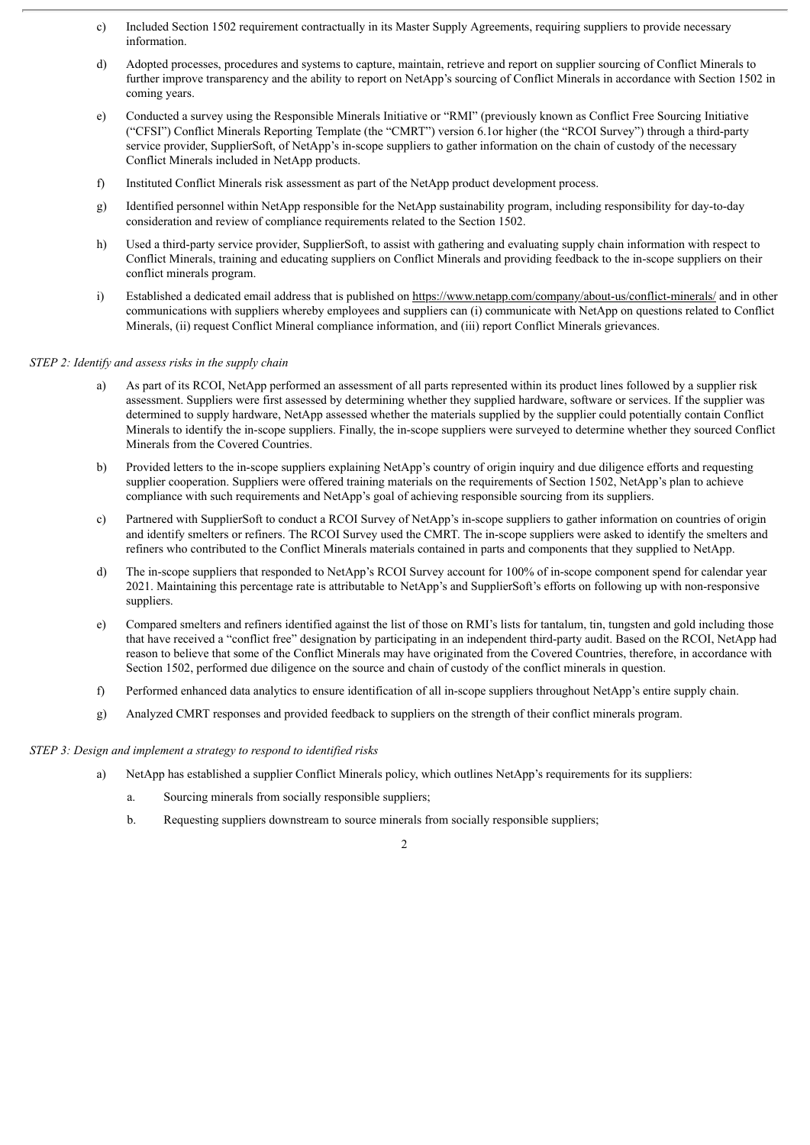- c) Included Section 1502 requirement contractually in its Master Supply Agreements, requiring suppliers to provide necessary information.
- d) Adopted processes, procedures and systems to capture, maintain, retrieve and report on supplier sourcing of Conflict Minerals to further improve transparency and the ability to report on NetApp's sourcing of Conflict Minerals in accordance with Section 1502 in coming years.
- e) Conducted a survey using the Responsible Minerals Initiative or "RMI" (previously known as Conflict Free Sourcing Initiative ("CFSI") Conflict Minerals Reporting Template (the "CMRT") version 6.1or higher (the "RCOI Survey") through a third-party service provider, SupplierSoft, of NetApp's in-scope suppliers to gather information on the chain of custody of the necessary Conflict Minerals included in NetApp products.
- f) Instituted Conflict Minerals risk assessment as part of the NetApp product development process.
- g) Identified personnel within NetApp responsible for the NetApp sustainability program, including responsibility for day-to-day consideration and review of compliance requirements related to the Section 1502.
- h) Used a third-party service provider, SupplierSoft, to assist with gathering and evaluating supply chain information with respect to Conflict Minerals, training and educating suppliers on Conflict Minerals and providing feedback to the in-scope suppliers on their conflict minerals program.
- i) Established a dedicated email address that is published on https://www.netapp.com/company/about-us/conflict-minerals/ and in other communications with suppliers whereby employees and suppliers can (i) communicate with NetApp on questions related to Conflict Minerals, (ii) request Conflict Mineral compliance information, and (iii) report Conflict Minerals grievances.

#### *STEP 2: Identify and assess risks in the supply chain*

- a) As part of its RCOI, NetApp performed an assessment of all parts represented within its product lines followed by a supplier risk assessment. Suppliers were first assessed by determining whether they supplied hardware, software or services. If the supplier was determined to supply hardware, NetApp assessed whether the materials supplied by the supplier could potentially contain Conflict Minerals to identify the in-scope suppliers. Finally, the in-scope suppliers were surveyed to determine whether they sourced Conflict Minerals from the Covered Countries.
- b) Provided letters to the in-scope suppliers explaining NetApp's country of origin inquiry and due diligence efforts and requesting supplier cooperation. Suppliers were offered training materials on the requirements of Section 1502, NetApp's plan to achieve compliance with such requirements and NetApp's goal of achieving responsible sourcing from its suppliers.
- c) Partnered with SupplierSoft to conduct a RCOI Survey of NetApp's in-scope suppliers to gather information on countries of origin and identify smelters or refiners. The RCOI Survey used the CMRT. The in-scope suppliers were asked to identify the smelters and refiners who contributed to the Conflict Minerals materials contained in parts and components that they supplied to NetApp.
- d) The in-scope suppliers that responded to NetApp's RCOI Survey account for 100% of in-scope component spend for calendar year 2021. Maintaining this percentage rate is attributable to NetApp's and SupplierSoft's efforts on following up with non-responsive suppliers.
- e) Compared smelters and refiners identified against the list of those on RMI's lists for tantalum, tin, tungsten and gold including those that have received a "conflict free" designation by participating in an independent third-party audit. Based on the RCOI, NetApp had reason to believe that some of the Conflict Minerals may have originated from the Covered Countries, therefore, in accordance with Section 1502, performed due diligence on the source and chain of custody of the conflict minerals in question.
- f) Performed enhanced data analytics to ensure identification of all in-scope suppliers throughout NetApp's entire supply chain.
- g) Analyzed CMRT responses and provided feedback to suppliers on the strength of their conflict minerals program.

#### *STEP 3: Design and implement a strategy to respond to identified risks*

- a) NetApp has established a supplier Conflict Minerals policy, which outlines NetApp's requirements for its suppliers:
	- a. Sourcing minerals from socially responsible suppliers;
	- b. Requesting suppliers downstream to source minerals from socially responsible suppliers;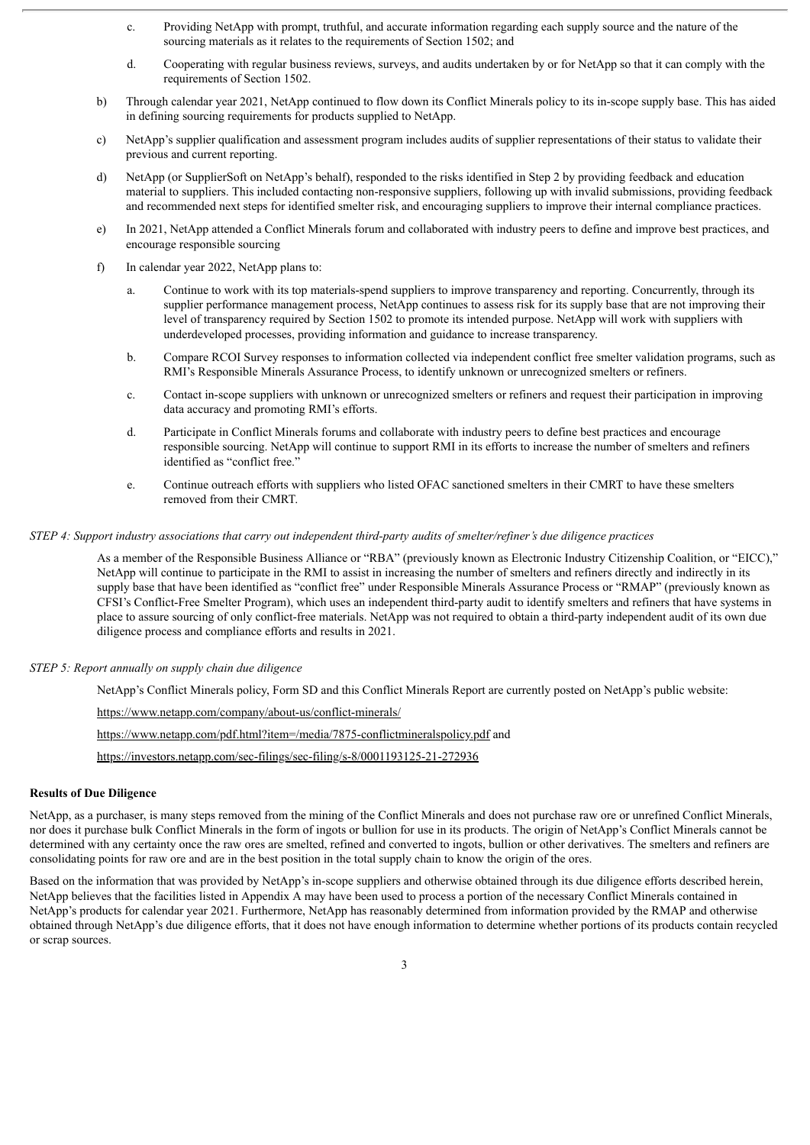- c. Providing NetApp with prompt, truthful, and accurate information regarding each supply source and the nature of the sourcing materials as it relates to the requirements of Section 1502; and
- d. Cooperating with regular business reviews, surveys, and audits undertaken by or for NetApp so that it can comply with the requirements of Section 1502.
- b) Through calendar year 2021, NetApp continued to flow down its Conflict Minerals policy to its in-scope supply base. This has aided in defining sourcing requirements for products supplied to NetApp.
- c) NetApp's supplier qualification and assessment program includes audits of supplier representations of their status to validate their previous and current reporting.
- d) NetApp (or SupplierSoft on NetApp's behalf), responded to the risks identified in Step 2 by providing feedback and education material to suppliers. This included contacting non-responsive suppliers, following up with invalid submissions, providing feedback and recommended next steps for identified smelter risk, and encouraging suppliers to improve their internal compliance practices.
- e) In 2021, NetApp attended a Conflict Minerals forum and collaborated with industry peers to define and improve best practices, and encourage responsible sourcing
- f) In calendar year 2022, NetApp plans to:
	- a. Continue to work with its top materials-spend suppliers to improve transparency and reporting. Concurrently, through its supplier performance management process, NetApp continues to assess risk for its supply base that are not improving their level of transparency required by Section 1502 to promote its intended purpose. NetApp will work with suppliers with underdeveloped processes, providing information and guidance to increase transparency.
	- b. Compare RCOI Survey responses to information collected via independent conflict free smelter validation programs, such as RMI's Responsible Minerals Assurance Process, to identify unknown or unrecognized smelters or refiners.
	- c. Contact in-scope suppliers with unknown or unrecognized smelters or refiners and request their participation in improving data accuracy and promoting RMI's efforts.
	- d. Participate in Conflict Minerals forums and collaborate with industry peers to define best practices and encourage responsible sourcing. NetApp will continue to support RMI in its efforts to increase the number of smelters and refiners identified as "conflict free."
	- e. Continue outreach efforts with suppliers who listed OFAC sanctioned smelters in their CMRT to have these smelters removed from their CMRT.

#### STEP 4: Support industry associations that carry out independent third-party audits of smelter/refiner's due diligence practices

As a member of the Responsible Business Alliance or "RBA" (previously known as Electronic Industry Citizenship Coalition, or "EICC)," NetApp will continue to participate in the RMI to assist in increasing the number of smelters and refiners directly and indirectly in its supply base that have been identified as "conflict free" under Responsible Minerals Assurance Process or "RMAP" (previously known as CFSI's Conflict-Free Smelter Program), which uses an independent third-party audit to identify smelters and refiners that have systems in place to assure sourcing of only conflict-free materials. NetApp was not required to obtain a third-party independent audit of its own due diligence process and compliance efforts and results in 2021.

#### *STEP 5: Report annually on supply chain due diligence*

NetApp's Conflict Minerals policy, Form SD and this Conflict Minerals Report are currently posted on NetApp's public website:

https://www.netapp.com/company/about-us/conflict-minerals/

https://www.netapp.com/pdf.html?item=/media/7875-conflictmineralspolicy.pdf and

https://investors.netapp.com/sec-filings/sec-filing/s-8/0001193125-21-272936

#### **Results of Due Diligence**

NetApp, as a purchaser, is many steps removed from the mining of the Conflict Minerals and does not purchase raw ore or unrefined Conflict Minerals, nor does it purchase bulk Conflict Minerals in the form of ingots or bullion for use in its products. The origin of NetApp's Conflict Minerals cannot be determined with any certainty once the raw ores are smelted, refined and converted to ingots, bullion or other derivatives. The smelters and refiners are consolidating points for raw ore and are in the best position in the total supply chain to know the origin of the ores.

Based on the information that was provided by NetApp's in-scope suppliers and otherwise obtained through its due diligence efforts described herein, NetApp believes that the facilities listed in Appendix A may have been used to process a portion of the necessary Conflict Minerals contained in NetApp's products for calendar year 2021. Furthermore, NetApp has reasonably determined from information provided by the RMAP and otherwise obtained through NetApp's due diligence efforts, that it does not have enough information to determine whether portions of its products contain recycled or scrap sources.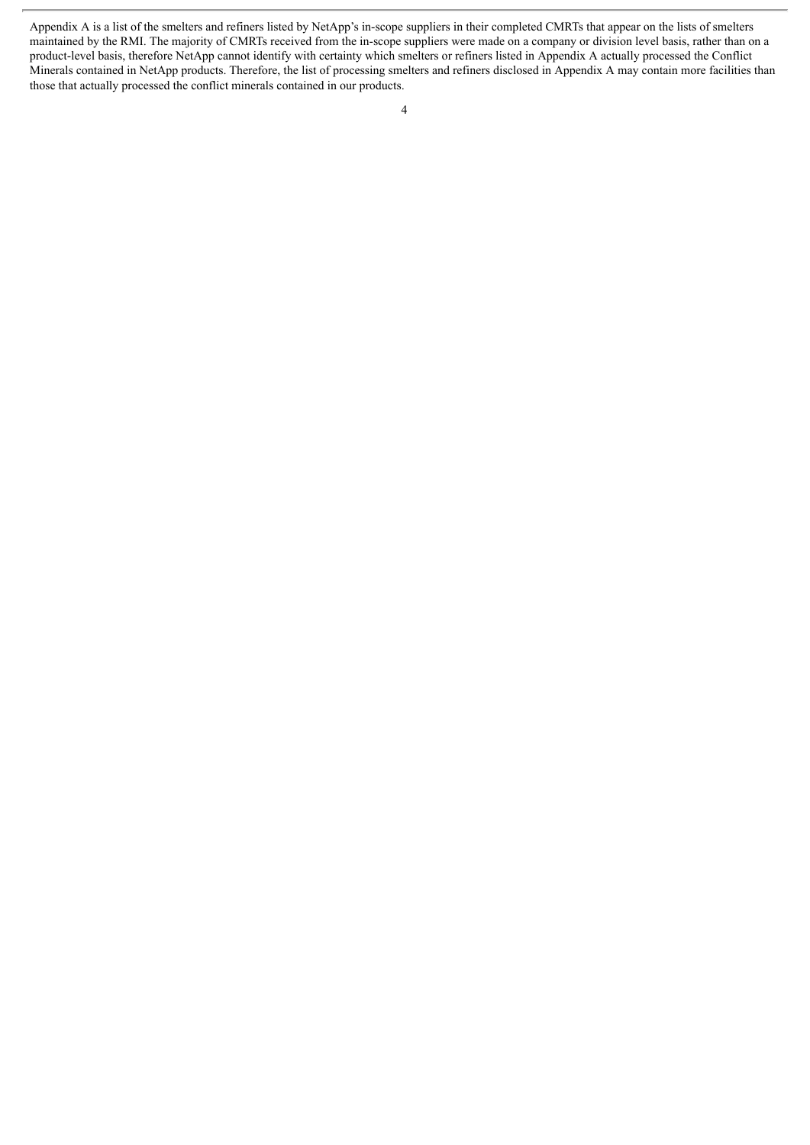Appendix A is a list of the smelters and refiners listed by NetApp's in-scope suppliers in their completed CMRTs that appear on the lists of smelters maintained by the RMI. The majority of CMRTs received from the in-scope suppliers were made on a company or division level basis, rather than on a product-level basis, therefore NetApp cannot identify with certainty which smelters or refiners listed in Appendix A actually processed the Conflict Minerals contained in NetApp products. Therefore, the list of processing smelters and refiners disclosed in Appendix A may contain more facilities than those that actually processed the conflict minerals contained in our products.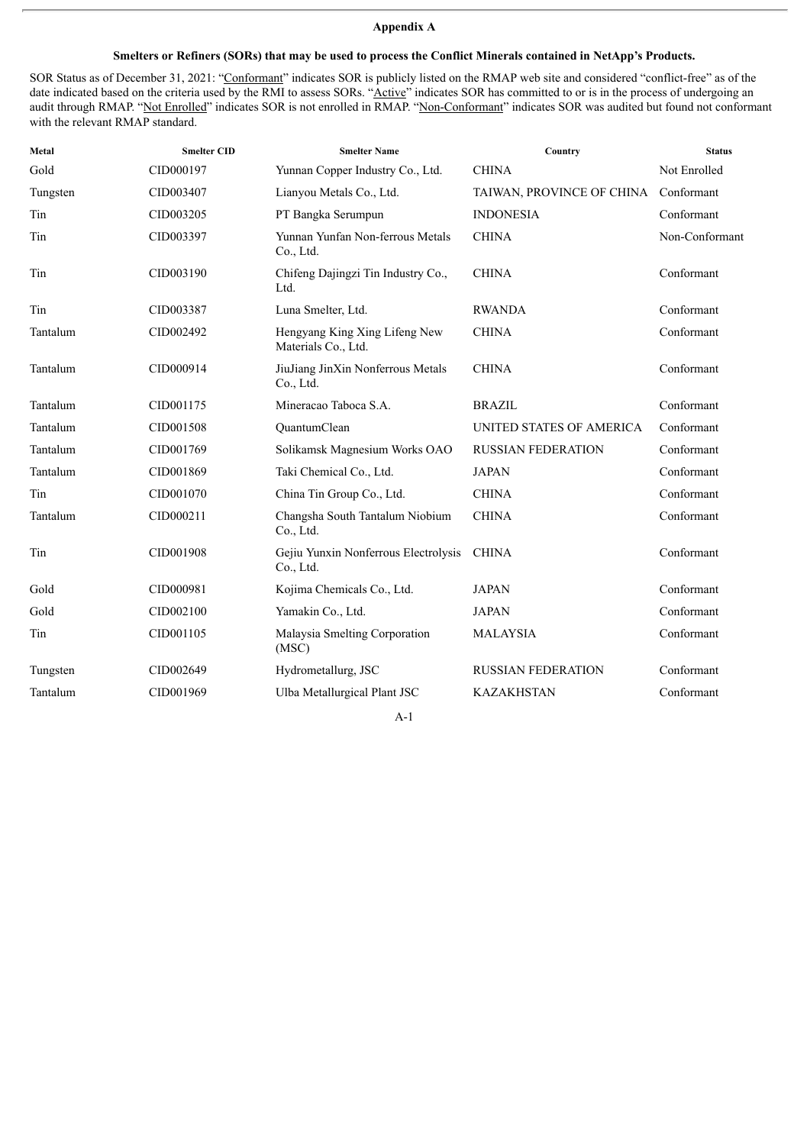## **Appendix A**

### Smelters or Refiners (SORs) that may be used to process the Conflict Minerals contained in NetApp's Products.

SOR Status as of December 31, 2021: "Conformant" indicates SOR is publicly listed on the RMAP web site and considered "conflict-free" as of the date indicated based on the criteria used by the RMI to assess SORs. "Active" indicates SOR has committed to or is in the process of undergoing an audit through RMAP. "Not Enrolled" indicates SOR is not enrolled in RMAP. "Non-Conformant" indicates SOR was audited but found not conformant with the relevant RMAP standard.

| Metal    | <b>Smelter CID</b> | <b>Smelter Name</b>                                  | Country                   | <b>Status</b>  |
|----------|--------------------|------------------------------------------------------|---------------------------|----------------|
| Gold     | CID000197          | Yunnan Copper Industry Co., Ltd.                     | <b>CHINA</b>              | Not Enrolled   |
| Tungsten | CID003407          | Lianyou Metals Co., Ltd.                             | TAIWAN, PROVINCE OF CHINA | Conformant     |
| Tin      | CID003205          | PT Bangka Serumpun                                   | <b>INDONESIA</b>          | Conformant     |
| Tin      | CID003397          | Yunnan Yunfan Non-ferrous Metals<br>Co., Ltd.        | <b>CHINA</b>              | Non-Conformant |
| Tin      | CID003190          | Chifeng Dajingzi Tin Industry Co.,<br>Ltd.           | <b>CHINA</b>              | Conformant     |
| Tin      | CID003387          | Luna Smelter, Ltd.                                   | <b>RWANDA</b>             | Conformant     |
| Tantalum | CID002492          | Hengyang King Xing Lifeng New<br>Materials Co., Ltd. | <b>CHINA</b>              | Conformant     |
| Tantalum | CID000914          | JiuJiang JinXin Nonferrous Metals<br>Co., Ltd.       | <b>CHINA</b>              | Conformant     |
| Tantalum | CID001175          | Mineracao Taboca S.A.                                | <b>BRAZIL</b>             | Conformant     |
| Tantalum | CID001508          | QuantumClean                                         | UNITED STATES OF AMERICA  | Conformant     |
| Tantalum | CID001769          | Solikamsk Magnesium Works OAO                        | <b>RUSSIAN FEDERATION</b> | Conformant     |
| Tantalum | CID001869          | Taki Chemical Co., Ltd.                              | <b>JAPAN</b>              | Conformant     |
| Tin      | CID001070          | China Tin Group Co., Ltd.                            | <b>CHINA</b>              | Conformant     |
| Tantalum | CID000211          | Changsha South Tantalum Niobium<br>Co., Ltd.         | <b>CHINA</b>              | Conformant     |
| Tin      | CID001908          | Gejiu Yunxin Nonferrous Electrolysis<br>Co., Ltd.    | <b>CHINA</b>              | Conformant     |
| Gold     | CID000981          | Kojima Chemicals Co., Ltd.                           | <b>JAPAN</b>              | Conformant     |
| Gold     | CID002100          | Yamakin Co., Ltd.                                    | <b>JAPAN</b>              | Conformant     |
| Tin      | CID001105          | Malaysia Smelting Corporation<br>(MSC)               | <b>MALAYSIA</b>           | Conformant     |
| Tungsten | CID002649          | Hydrometallurg, JSC                                  | <b>RUSSIAN FEDERATION</b> | Conformant     |
| Tantalum | CID001969          | Ulba Metallurgical Plant JSC                         | <b>KAZAKHSTAN</b>         | Conformant     |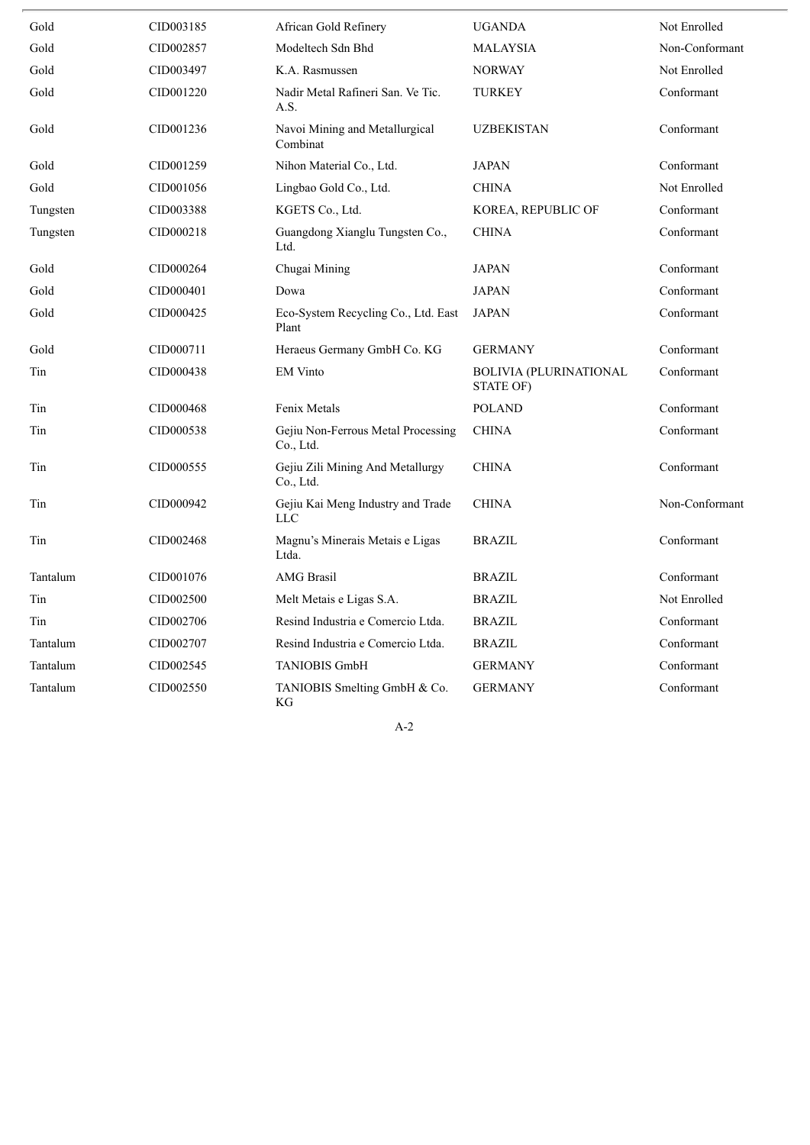| Gold     | CID003185 | African Gold Refinery                           | <b>UGANDA</b>                              | Not Enrolled   |
|----------|-----------|-------------------------------------------------|--------------------------------------------|----------------|
| Gold     | CID002857 | Modeltech Sdn Bhd                               | MALAYSIA                                   | Non-Conformant |
| Gold     | CID003497 | K.A. Rasmussen                                  | <b>NORWAY</b>                              | Not Enrolled   |
| Gold     | CID001220 | Nadir Metal Rafineri San. Ve Tic.<br>A.S.       | <b>TURKEY</b>                              | Conformant     |
| Gold     | CID001236 | Navoi Mining and Metallurgical<br>Combinat      | <b>UZBEKISTAN</b>                          | Conformant     |
| Gold     | CID001259 | Nihon Material Co., Ltd.                        | <b>JAPAN</b>                               | Conformant     |
| Gold     | CID001056 | Lingbao Gold Co., Ltd.                          | <b>CHINA</b>                               | Not Enrolled   |
| Tungsten | CID003388 | KGETS Co., Ltd.                                 | KOREA, REPUBLIC OF                         | Conformant     |
| Tungsten | CID000218 | Guangdong Xianglu Tungsten Co.,<br>Ltd.         | <b>CHINA</b>                               | Conformant     |
| Gold     | CID000264 | Chugai Mining                                   | <b>JAPAN</b>                               | Conformant     |
| Gold     | CID000401 | Dowa                                            | <b>JAPAN</b>                               | Conformant     |
| Gold     | CID000425 | Eco-System Recycling Co., Ltd. East<br>Plant    | <b>JAPAN</b>                               | Conformant     |
| Gold     | CID000711 | Heraeus Germany GmbH Co. KG                     | <b>GERMANY</b>                             | Conformant     |
| Tin      | CID000438 | <b>EM Vinto</b>                                 | <b>BOLIVIA (PLURINATIONAL</b><br>STATE OF) | Conformant     |
| Tin      | CID000468 | Fenix Metals                                    | <b>POLAND</b>                              | Conformant     |
| Tin      | CID000538 | Gejiu Non-Ferrous Metal Processing<br>Co., Ltd. | <b>CHINA</b>                               | Conformant     |
| Tin      | CID000555 | Gejiu Zili Mining And Metallurgy<br>Co., Ltd.   | <b>CHINA</b>                               | Conformant     |
| Tin      | CID000942 | Gejiu Kai Meng Industry and Trade<br><b>LLC</b> | <b>CHINA</b>                               | Non-Conformant |
| Tin      | CID002468 | Magnu's Minerais Metais e Ligas<br>Ltda.        | <b>BRAZIL</b>                              | Conformant     |
| Tantalum | CID001076 | <b>AMG</b> Brasil                               | <b>BRAZIL</b>                              | Conformant     |
| Tin      | CID002500 | Melt Metais e Ligas S.A.                        | <b>BRAZIL</b>                              | Not Enrolled   |
| Tin      | CID002706 | Resind Industria e Comercio Ltda.               | <b>BRAZIL</b>                              | Conformant     |
| Tantalum | CID002707 | Resind Industria e Comercio Ltda.               | <b>BRAZIL</b>                              | Conformant     |
| Tantalum | CID002545 | <b>TANIOBIS GmbH</b>                            | <b>GERMANY</b>                             | Conformant     |
| Tantalum | CID002550 | TANIOBIS Smelting GmbH & Co.<br>ΚG              | <b>GERMANY</b>                             | Conformant     |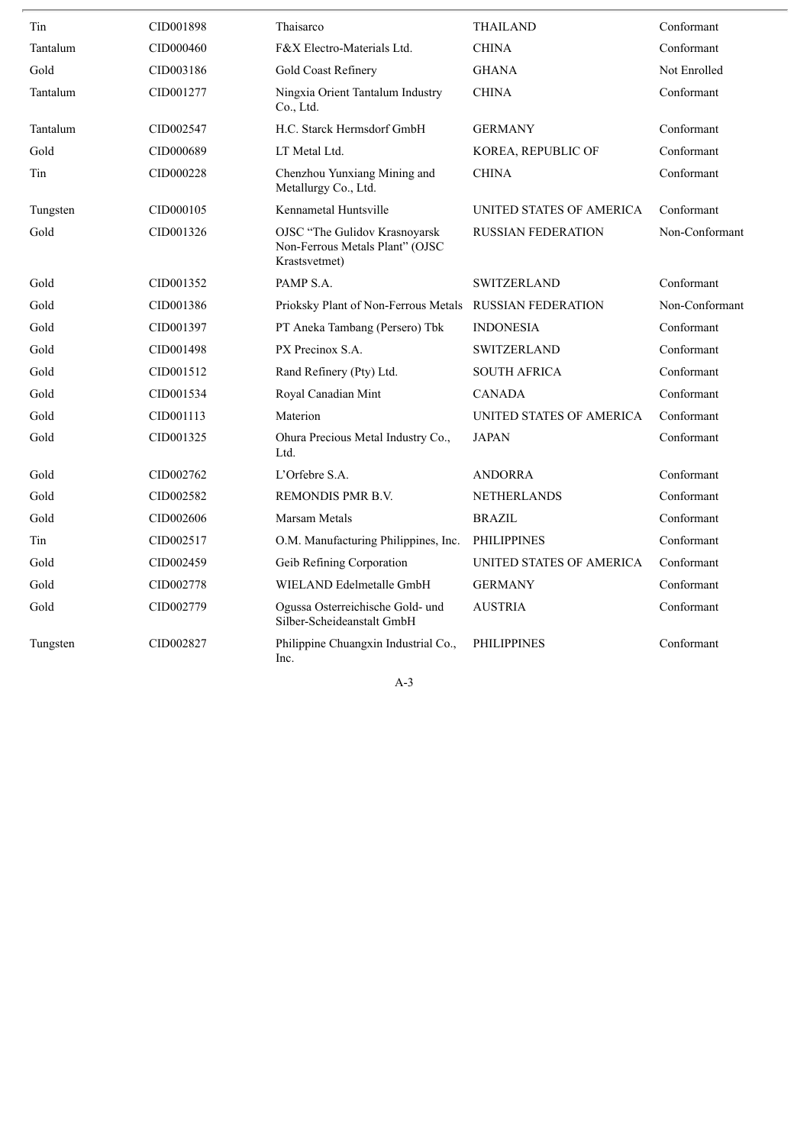| Tin      | CID001898 | Thaisarco                                                                         | <b>THAILAND</b>           | Conformant     |
|----------|-----------|-----------------------------------------------------------------------------------|---------------------------|----------------|
| Tantalum | CID000460 | F&X Electro-Materials Ltd.                                                        | <b>CHINA</b>              | Conformant     |
| Gold     | CID003186 | Gold Coast Refinery                                                               | <b>GHANA</b>              | Not Enrolled   |
| Tantalum | CID001277 | Ningxia Orient Tantalum Industry<br>Co., Ltd.                                     | <b>CHINA</b>              | Conformant     |
| Tantalum | CID002547 | H.C. Starck Hermsdorf GmbH                                                        | <b>GERMANY</b>            | Conformant     |
| Gold     | CID000689 | LT Metal Ltd.                                                                     | KOREA, REPUBLIC OF        | Conformant     |
| Tin      | CID000228 | Chenzhou Yunxiang Mining and<br>Metallurgy Co., Ltd.                              | <b>CHINA</b>              | Conformant     |
| Tungsten | CID000105 | Kennametal Huntsville                                                             | UNITED STATES OF AMERICA  | Conformant     |
| Gold     | CID001326 | OJSC "The Gulidov Krasnoyarsk<br>Non-Ferrous Metals Plant" (OJSC<br>Krastsvetmet) | <b>RUSSIAN FEDERATION</b> | Non-Conformant |
| Gold     | CID001352 | PAMP S.A.                                                                         | <b>SWITZERLAND</b>        | Conformant     |
| Gold     | CID001386 | Prioksky Plant of Non-Ferrous Metals                                              | <b>RUSSIAN FEDERATION</b> | Non-Conformant |
| Gold     | CID001397 | PT Aneka Tambang (Persero) Tbk                                                    | <b>INDONESIA</b>          | Conformant     |
| Gold     | CID001498 | PX Precinox S.A.                                                                  | <b>SWITZERLAND</b>        | Conformant     |
| Gold     | CID001512 | Rand Refinery (Pty) Ltd.                                                          | <b>SOUTH AFRICA</b>       | Conformant     |
| Gold     | CID001534 | Royal Canadian Mint                                                               | <b>CANADA</b>             | Conformant     |
| Gold     | CID001113 | Materion                                                                          | UNITED STATES OF AMERICA  | Conformant     |
| Gold     | CID001325 | Ohura Precious Metal Industry Co.,<br>Ltd.                                        | <b>JAPAN</b>              | Conformant     |
| Gold     | CID002762 | L'Orfebre S.A.                                                                    | <b>ANDORRA</b>            | Conformant     |
| Gold     | CID002582 | <b>REMONDIS PMR B.V.</b>                                                          | <b>NETHERLANDS</b>        | Conformant     |
| Gold     | CID002606 | Marsam Metals                                                                     | <b>BRAZIL</b>             | Conformant     |
| Tin      | CID002517 | O.M. Manufacturing Philippines, Inc.                                              | <b>PHILIPPINES</b>        | Conformant     |
| Gold     | CID002459 | Geib Refining Corporation                                                         | UNITED STATES OF AMERICA  | Conformant     |
| Gold     | CID002778 | WIELAND Edelmetalle GmbH                                                          | <b>GERMANY</b>            | Conformant     |
| Gold     | CID002779 | Ogussa Osterreichische Gold- und<br>Silber-Scheideanstalt GmbH                    | <b>AUSTRIA</b>            | Conformant     |
| Tungsten | CID002827 | Philippine Chuangxin Industrial Co.,<br>Inc.                                      | <b>PHILIPPINES</b>        | Conformant     |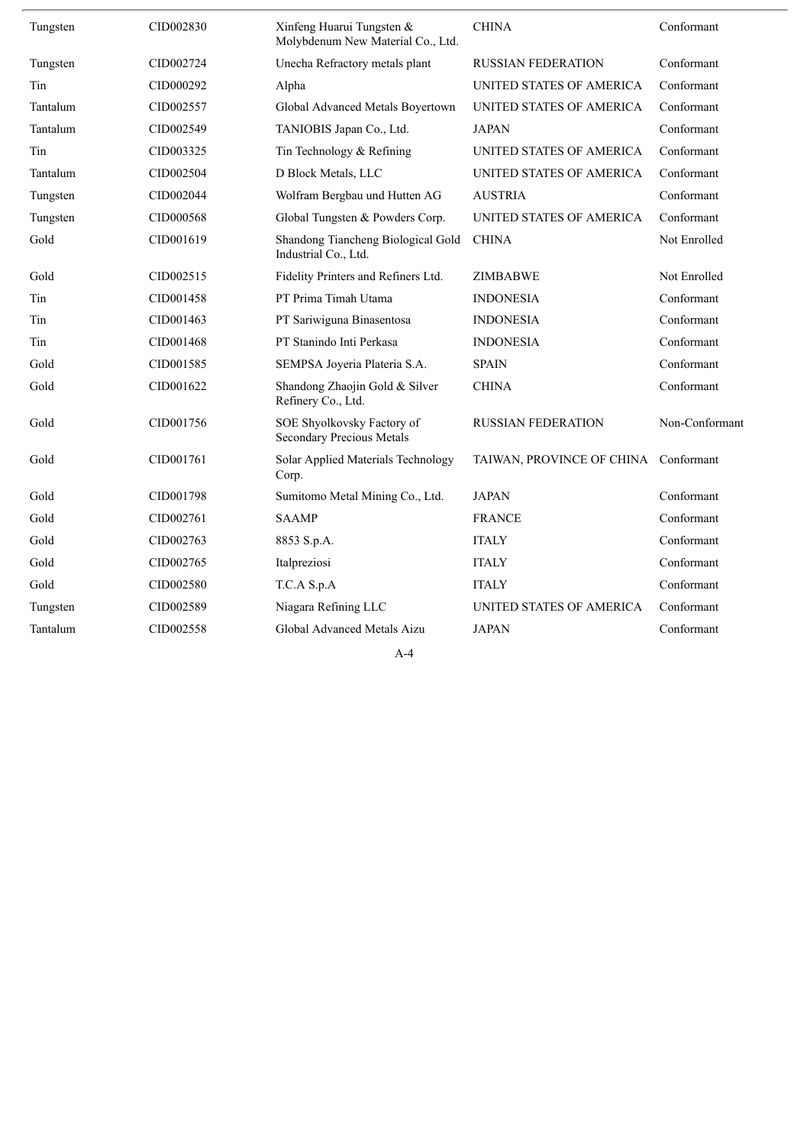| Tungsten | CID002830 | Xinfeng Huarui Tungsten &<br>Molybdenum New Material Co., Ltd. | <b>CHINA</b>              | Conformant     |
|----------|-----------|----------------------------------------------------------------|---------------------------|----------------|
| Tungsten | CID002724 | Unecha Refractory metals plant                                 | <b>RUSSIAN FEDERATION</b> | Conformant     |
| Tin      | CID000292 | Alpha                                                          | UNITED STATES OF AMERICA  | Conformant     |
| Tantalum | CID002557 | Global Advanced Metals Boyertown                               | UNITED STATES OF AMERICA  | Conformant     |
| Tantalum | CID002549 | TANIOBIS Japan Co., Ltd.                                       | <b>JAPAN</b>              | Conformant     |
| Tin      | CID003325 | Tin Technology & Refining                                      | UNITED STATES OF AMERICA  | Conformant     |
| Tantalum | CID002504 | D Block Metals, LLC                                            | UNITED STATES OF AMERICA  | Conformant     |
| Tungsten | CID002044 | Wolfram Bergbau und Hutten AG                                  | <b>AUSTRIA</b>            | Conformant     |
| Tungsten | CID000568 | Global Tungsten & Powders Corp.                                | UNITED STATES OF AMERICA  | Conformant     |
| Gold     | CID001619 | Shandong Tiancheng Biological Gold<br>Industrial Co., Ltd.     | <b>CHINA</b>              | Not Enrolled   |
| Gold     | CID002515 | Fidelity Printers and Refiners Ltd.                            | <b>ZIMBABWE</b>           | Not Enrolled   |
| Tin      | CID001458 | PT Prima Timah Utama                                           | <b>INDONESIA</b>          | Conformant     |
| Tin      | CID001463 | PT Sariwiguna Binasentosa                                      | <b>INDONESIA</b>          | Conformant     |
| Tin      | CID001468 | PT Stanindo Inti Perkasa                                       | <b>INDONESIA</b>          | Conformant     |
| Gold     | CID001585 | SEMPSA Joyeria Plateria S.A.                                   | <b>SPAIN</b>              | Conformant     |
| Gold     | CID001622 | Shandong Zhaojin Gold & Silver<br>Refinery Co., Ltd.           | <b>CHINA</b>              | Conformant     |
| Gold     | CID001756 | SOE Shyolkovsky Factory of<br>Secondary Precious Metals        | <b>RUSSIAN FEDERATION</b> | Non-Conformant |
| Gold     | CID001761 | Solar Applied Materials Technology<br>Corp.                    | TAIWAN, PROVINCE OF CHINA | Conformant     |
| Gold     | CID001798 | Sumitomo Metal Mining Co., Ltd.                                | <b>JAPAN</b>              | Conformant     |
| Gold     | CID002761 | <b>SAAMP</b>                                                   | <b>FRANCE</b>             | Conformant     |
| Gold     | CID002763 | 8853 S.p.A.                                                    | <b>ITALY</b>              | Conformant     |
| Gold     | CID002765 | Italpreziosi                                                   | <b>ITALY</b>              | Conformant     |
| Gold     | CID002580 | T.C.A S.p.A                                                    | <b>ITALY</b>              | Conformant     |
| Tungsten | CID002589 | Niagara Refining LLC                                           | UNITED STATES OF AMERICA  | Conformant     |
| Tantalum | CID002558 | Global Advanced Metals Aizu                                    | <b>JAPAN</b>              | Conformant     |
|          |           |                                                                |                           |                |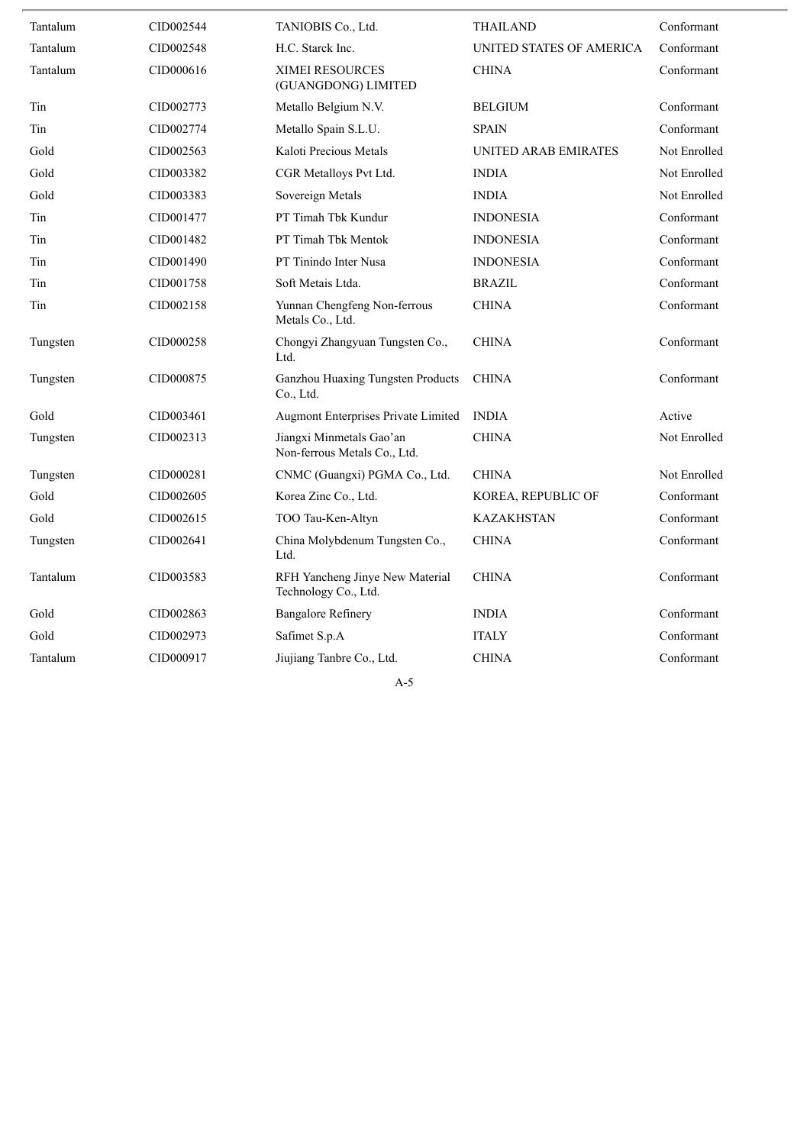| Tantalum | CID002544 | TANIOBIS Co., Ltd.                                       | <b>THAILAND</b>          | Conformant   |
|----------|-----------|----------------------------------------------------------|--------------------------|--------------|
| Tantalum | CID002548 | H.C. Starck Inc.                                         | UNITED STATES OF AMERICA | Conformant   |
| Tantalum | CID000616 | <b>XIMEI RESOURCES</b><br>(GUANGDONG) LIMITED            | <b>CHINA</b>             | Conformant   |
| Tin      | CID002773 | Metallo Belgium N.V.                                     | <b>BELGIUM</b>           | Conformant   |
| Tin      | CID002774 | Metallo Spain S.L.U.                                     | <b>SPAIN</b>             | Conformant   |
| Gold     | CID002563 | Kaloti Precious Metals                                   | UNITED ARAB EMIRATES     | Not Enrolled |
| Gold     | CID003382 | CGR Metalloys Pvt Ltd.                                   | <b>INDIA</b>             | Not Enrolled |
| Gold     | CID003383 | Sovereign Metals                                         | <b>INDIA</b>             | Not Enrolled |
| Tin      | CID001477 | PT Timah Tbk Kundur                                      | <b>INDONESIA</b>         | Conformant   |
| Tin      | CID001482 | PT Timah Tbk Mentok                                      | <b>INDONESIA</b>         | Conformant   |
| Tin      | CID001490 | PT Tinindo Inter Nusa                                    | <b>INDONESIA</b>         | Conformant   |
| Tin      | CID001758 | Soft Metais Ltda.                                        | <b>BRAZIL</b>            | Conformant   |
| Tin      | CID002158 | Yunnan Chengfeng Non-ferrous<br>Metals Co., Ltd.         | <b>CHINA</b>             | Conformant   |
| Tungsten | CID000258 | Chongyi Zhangyuan Tungsten Co.,<br>Ltd.                  | <b>CHINA</b>             | Conformant   |
| Tungsten | CID000875 | Ganzhou Huaxing Tungsten Products<br>Co., Ltd.           | <b>CHINA</b>             | Conformant   |
| Gold     | CID003461 | Augmont Enterprises Private Limited                      | <b>INDIA</b>             | Active       |
| Tungsten | CID002313 | Jiangxi Minmetals Gao'an<br>Non-ferrous Metals Co., Ltd. | <b>CHINA</b>             | Not Enrolled |
| Tungsten | CID000281 | CNMC (Guangxi) PGMA Co., Ltd.                            | <b>CHINA</b>             | Not Enrolled |
| Gold     | CID002605 | Korea Zinc Co., Ltd.                                     | KOREA, REPUBLIC OF       | Conformant   |
| Gold     | CID002615 | TOO Tau-Ken-Altyn                                        | <b>KAZAKHSTAN</b>        | Conformant   |
| Tungsten | CID002641 | China Molybdenum Tungsten Co.,<br>Ltd.                   | <b>CHINA</b>             | Conformant   |
| Tantalum | CID003583 | RFH Yancheng Jinye New Material<br>Technology Co., Ltd.  | <b>CHINA</b>             | Conformant   |
| Gold     | CID002863 | <b>Bangalore Refinery</b>                                | <b>INDIA</b>             | Conformant   |
| Gold     | CID002973 | Safimet S.p.A                                            | <b>ITALY</b>             | Conformant   |
| Tantalum | CID000917 | Jiujiang Tanbre Co., Ltd.                                | <b>CHINA</b>             | Conformant   |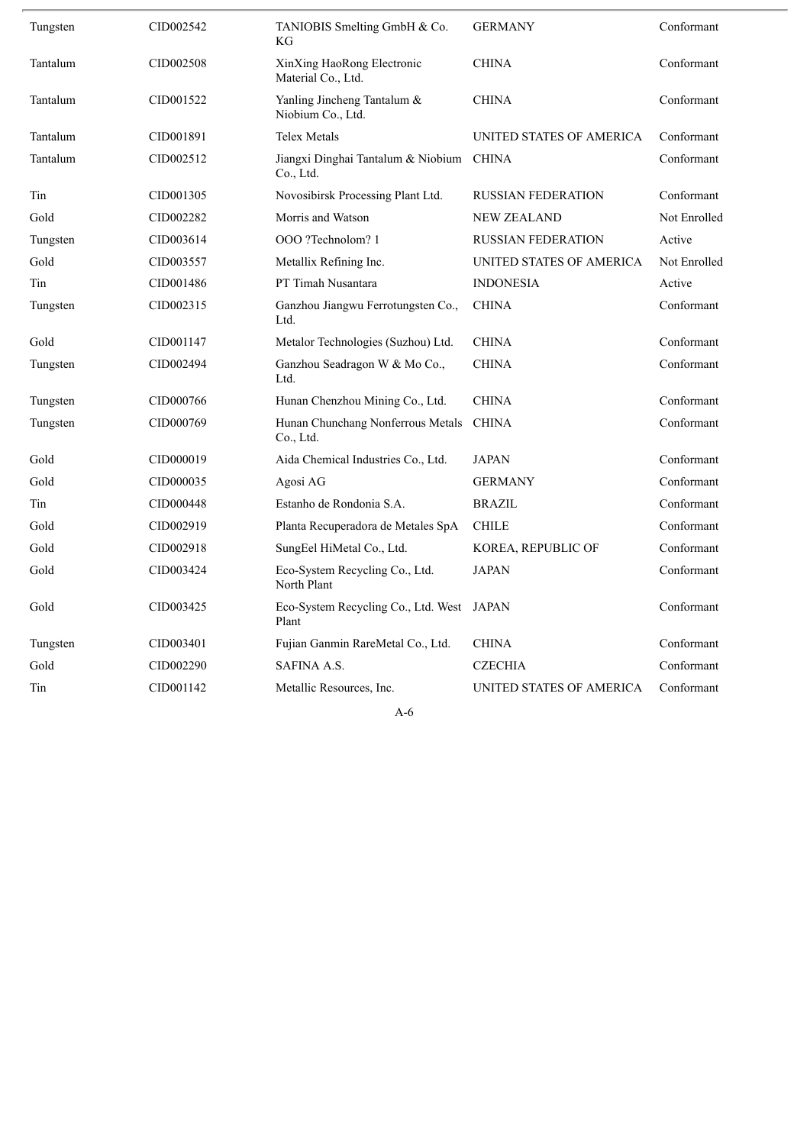| Tungsten | CID002542 | TANIOBIS Smelting GmbH & Co.<br>KG                    | <b>GERMANY</b>            | Conformant   |
|----------|-----------|-------------------------------------------------------|---------------------------|--------------|
| Tantalum | CID002508 | XinXing HaoRong Electronic<br>Material Co., Ltd.      | <b>CHINA</b>              | Conformant   |
| Tantalum | CID001522 | Yanling Jincheng Tantalum &<br>Niobium Co., Ltd.      | <b>CHINA</b>              | Conformant   |
| Tantalum | CID001891 | <b>Telex Metals</b>                                   | UNITED STATES OF AMERICA  | Conformant   |
| Tantalum | CID002512 | Jiangxi Dinghai Tantalum & Niobium CHINA<br>Co., Ltd. |                           | Conformant   |
| Tin      | CID001305 | Novosibirsk Processing Plant Ltd.                     | <b>RUSSIAN FEDERATION</b> | Conformant   |
| Gold     | CID002282 | Morris and Watson                                     | <b>NEW ZEALAND</b>        | Not Enrolled |
| Tungsten | CID003614 | OOO ?Technolom? 1                                     | <b>RUSSIAN FEDERATION</b> | Active       |
| Gold     | CID003557 | Metallix Refining Inc.                                | UNITED STATES OF AMERICA  | Not Enrolled |
| Tin      | CID001486 | PT Timah Nusantara                                    | <b>INDONESIA</b>          | Active       |
| Tungsten | CID002315 | Ganzhou Jiangwu Ferrotungsten Co.,<br>Ltd.            | <b>CHINA</b>              | Conformant   |
| Gold     | CID001147 | Metalor Technologies (Suzhou) Ltd.                    | <b>CHINA</b>              | Conformant   |
| Tungsten | CID002494 | Ganzhou Seadragon W & Mo Co.,<br>Ltd.                 | <b>CHINA</b>              | Conformant   |
| Tungsten | CID000766 | Hunan Chenzhou Mining Co., Ltd.                       | <b>CHINA</b>              | Conformant   |
| Tungsten | CID000769 | Hunan Chunchang Nonferrous Metals<br>Co., Ltd.        | <b>CHINA</b>              | Conformant   |
| Gold     | CID000019 | Aida Chemical Industries Co., Ltd.                    | <b>JAPAN</b>              | Conformant   |
| Gold     | CID000035 | Agosi AG                                              | <b>GERMANY</b>            | Conformant   |
| Tin      | CID000448 | Estanho de Rondonia S.A.                              | <b>BRAZIL</b>             | Conformant   |
| Gold     | CID002919 | Planta Recuperadora de Metales SpA                    | <b>CHILE</b>              | Conformant   |
| Gold     | CID002918 | SungEel HiMetal Co., Ltd.                             | KOREA, REPUBLIC OF        | Conformant   |
| Gold     | CID003424 | Eco-System Recycling Co., Ltd.<br>North Plant         | <b>JAPAN</b>              | Conformant   |
| Gold     | CID003425 | Eco-System Recycling Co., Ltd. West<br>Plant          | <b>JAPAN</b>              | Conformant   |
| Tungsten | CID003401 | Fujian Ganmin RareMetal Co., Ltd.                     | <b>CHINA</b>              | Conformant   |
| Gold     | CID002290 | <b>SAFINA A.S.</b>                                    | <b>CZECHIA</b>            | Conformant   |
| Tin      | CID001142 | Metallic Resources, Inc.                              | UNITED STATES OF AMERICA  | Conformant   |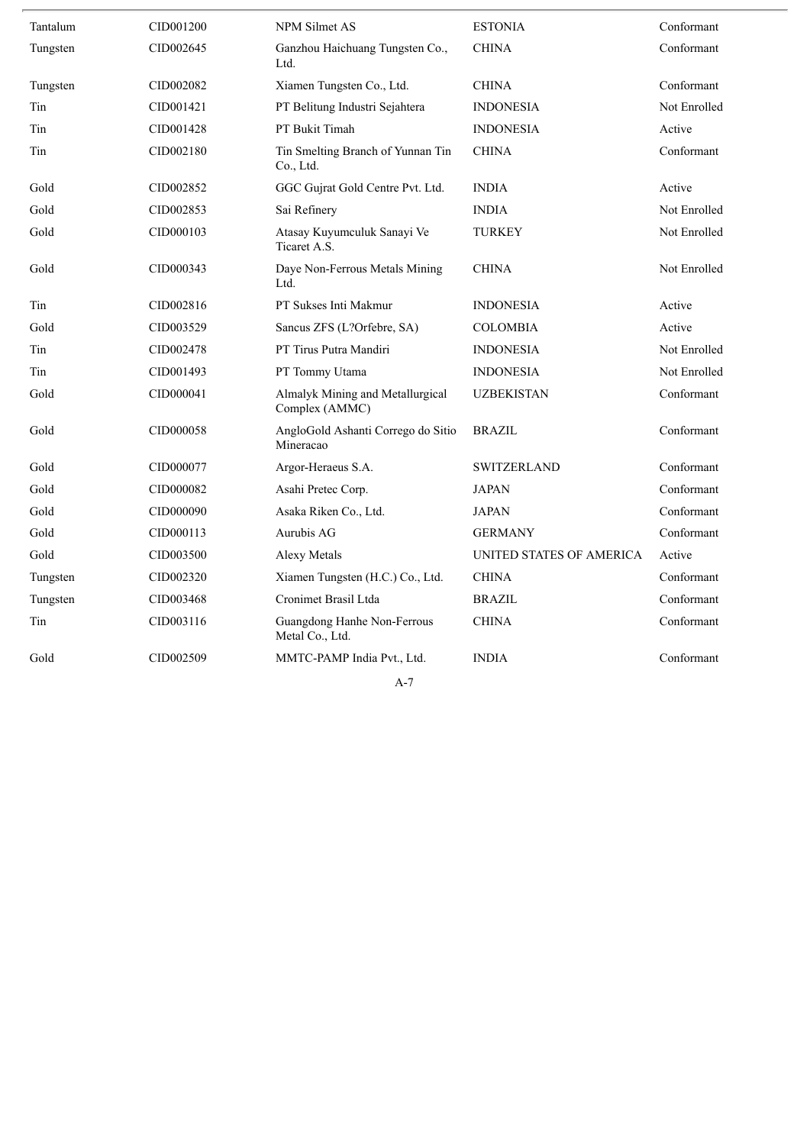| Tantalum | CID001200 | NPM Silmet AS                                      | <b>ESTONIA</b>           | Conformant   |
|----------|-----------|----------------------------------------------------|--------------------------|--------------|
| Tungsten | CID002645 | Ganzhou Haichuang Tungsten Co.,<br>Ltd.            | <b>CHINA</b>             | Conformant   |
| Tungsten | CID002082 | Xiamen Tungsten Co., Ltd.                          | <b>CHINA</b>             | Conformant   |
| Tin      | CID001421 | PT Belitung Industri Sejahtera                     | <b>INDONESIA</b>         | Not Enrolled |
| Tin      | CID001428 | PT Bukit Timah                                     | <b>INDONESIA</b>         | Active       |
| Tin      | CID002180 | Tin Smelting Branch of Yunnan Tin<br>Co., Ltd.     | <b>CHINA</b>             | Conformant   |
| Gold     | CID002852 | GGC Gujrat Gold Centre Pvt. Ltd.                   | <b>INDIA</b>             | Active       |
| Gold     | CID002853 | Sai Refinery                                       | <b>INDIA</b>             | Not Enrolled |
| Gold     | CID000103 | Atasay Kuyumculuk Sanayi Ve<br>Ticaret A.S.        | <b>TURKEY</b>            | Not Enrolled |
| Gold     | CID000343 | Daye Non-Ferrous Metals Mining<br>Ltd.             | <b>CHINA</b>             | Not Enrolled |
| Tin      | CID002816 | PT Sukses Inti Makmur                              | <b>INDONESIA</b>         | Active       |
| Gold     | CID003529 | Sancus ZFS (L?Orfebre, SA)                         | <b>COLOMBIA</b>          | Active       |
| Tin      | CID002478 | PT Tirus Putra Mandiri                             | <b>INDONESIA</b>         | Not Enrolled |
| Tin      | CID001493 | PT Tommy Utama                                     | <b>INDONESIA</b>         | Not Enrolled |
| Gold     | CID000041 | Almalyk Mining and Metallurgical<br>Complex (AMMC) | <b>UZBEKISTAN</b>        | Conformant   |
| Gold     | CID000058 | AngloGold Ashanti Corrego do Sitio<br>Mineracao    | <b>BRAZIL</b>            | Conformant   |
| Gold     | CID000077 | Argor-Heraeus S.A.                                 | <b>SWITZERLAND</b>       | Conformant   |
| Gold     | CID000082 | Asahi Pretec Corp.                                 | <b>JAPAN</b>             | Conformant   |
| Gold     | CID000090 | Asaka Riken Co., Ltd.                              | <b>JAPAN</b>             | Conformant   |
| Gold     | CID000113 | Aurubis AG                                         | <b>GERMANY</b>           | Conformant   |
| Gold     | CID003500 | Alexy Metals                                       | UNITED STATES OF AMERICA | Active       |
| Tungsten | CID002320 | Xiamen Tungsten (H.C.) Co., Ltd.                   | <b>CHINA</b>             | Conformant   |
| Tungsten | CID003468 | Cronimet Brasil Ltda                               | <b>BRAZIL</b>            | Conformant   |
| Tin      | CID003116 | Guangdong Hanhe Non-Ferrous<br>Metal Co., Ltd.     | <b>CHINA</b>             | Conformant   |
| Gold     | CID002509 | MMTC-PAMP India Pvt., Ltd.                         | <b>INDIA</b>             | Conformant   |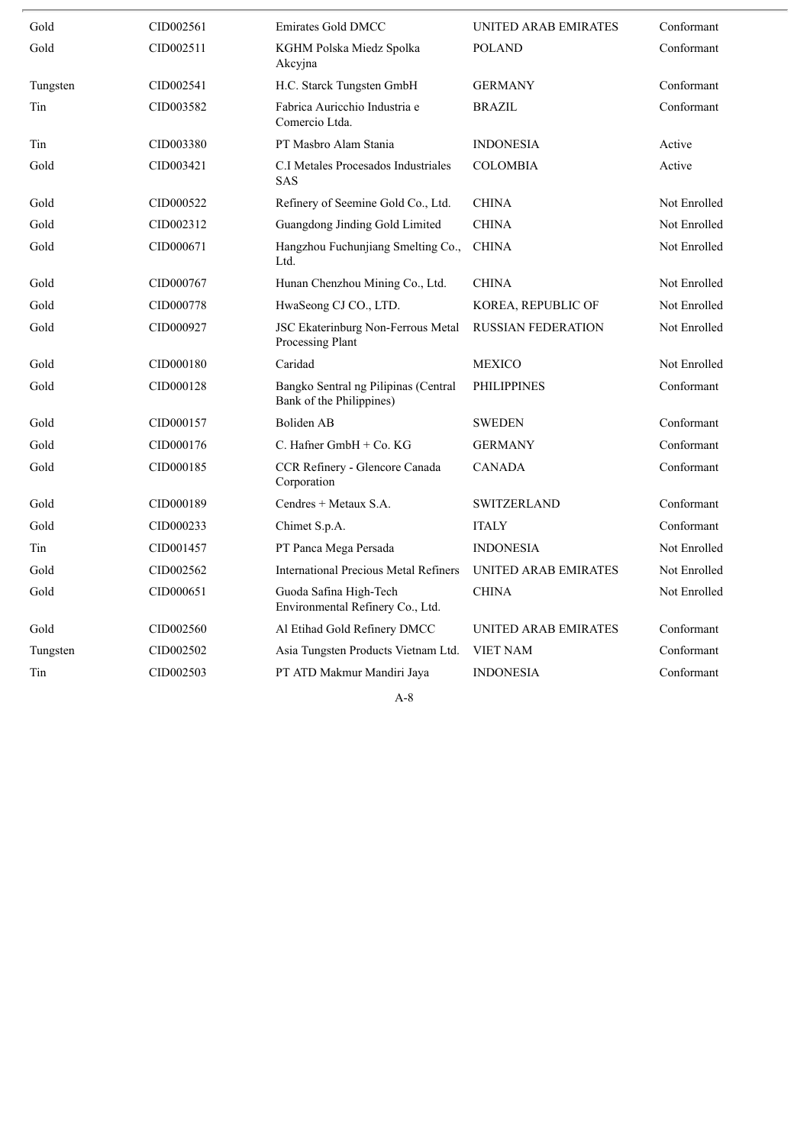| Gold     | CID002561 | <b>Emirates Gold DMCC</b>                                        | UNITED ARAB EMIRATES        | Conformant   |
|----------|-----------|------------------------------------------------------------------|-----------------------------|--------------|
| Gold     | CID002511 | KGHM Polska Miedz Spolka<br>Akcyjna                              | <b>POLAND</b>               | Conformant   |
| Tungsten | CID002541 | H.C. Starck Tungsten GmbH                                        | <b>GERMANY</b>              | Conformant   |
| Tin      | CID003582 | Fabrica Auricchio Industria e<br>Comercio Ltda.                  | <b>BRAZIL</b>               | Conformant   |
| Tin      | CID003380 | PT Masbro Alam Stania                                            | <b>INDONESIA</b>            | Active       |
| Gold     | CID003421 | C.I Metales Procesados Industriales<br><b>SAS</b>                | <b>COLOMBIA</b>             | Active       |
| Gold     | CID000522 | Refinery of Seemine Gold Co., Ltd.                               | <b>CHINA</b>                | Not Enrolled |
| Gold     | CID002312 | Guangdong Jinding Gold Limited                                   | <b>CHINA</b>                | Not Enrolled |
| Gold     | CID000671 | Hangzhou Fuchunjiang Smelting Co.,<br>Ltd.                       | <b>CHINA</b>                | Not Enrolled |
| Gold     | CID000767 | Hunan Chenzhou Mining Co., Ltd.                                  | <b>CHINA</b>                | Not Enrolled |
| Gold     | CID000778 | HwaSeong CJ CO., LTD.                                            | KOREA, REPUBLIC OF          | Not Enrolled |
| Gold     | CID000927 | JSC Ekaterinburg Non-Ferrous Metal<br>Processing Plant           | <b>RUSSIAN FEDERATION</b>   | Not Enrolled |
| Gold     | CID000180 | Caridad                                                          | <b>MEXICO</b>               | Not Enrolled |
| Gold     | CID000128 | Bangko Sentral ng Pilipinas (Central<br>Bank of the Philippines) | <b>PHILIPPINES</b>          | Conformant   |
| Gold     | CID000157 | <b>Boliden AB</b>                                                | <b>SWEDEN</b>               | Conformant   |
| Gold     | CID000176 | C. Hafner GmbH + Co. KG                                          | <b>GERMANY</b>              | Conformant   |
| Gold     | CID000185 | CCR Refinery - Glencore Canada<br>Corporation                    | <b>CANADA</b>               | Conformant   |
| Gold     | CID000189 | Cendres + Metaux S.A.                                            | <b>SWITZERLAND</b>          | Conformant   |
| Gold     | CID000233 | Chimet S.p.A.                                                    | <b>ITALY</b>                | Conformant   |
| Tin      | CID001457 | PT Panca Mega Persada                                            | <b>INDONESIA</b>            | Not Enrolled |
| Gold     | CID002562 | <b>International Precious Metal Refiners</b>                     | <b>UNITED ARAB EMIRATES</b> | Not Enrolled |
| Gold     | CID000651 | Guoda Safina High-Tech<br>Environmental Refinery Co., Ltd.       | <b>CHINA</b>                | Not Enrolled |
| Gold     | CID002560 | Al Etihad Gold Refinery DMCC                                     | <b>UNITED ARAB EMIRATES</b> | Conformant   |
| Tungsten | CID002502 | Asia Tungsten Products Vietnam Ltd.                              | <b>VIET NAM</b>             | Conformant   |
| Tin      | CID002503 | PT ATD Makmur Mandiri Jaya                                       | <b>INDONESIA</b>            | Conformant   |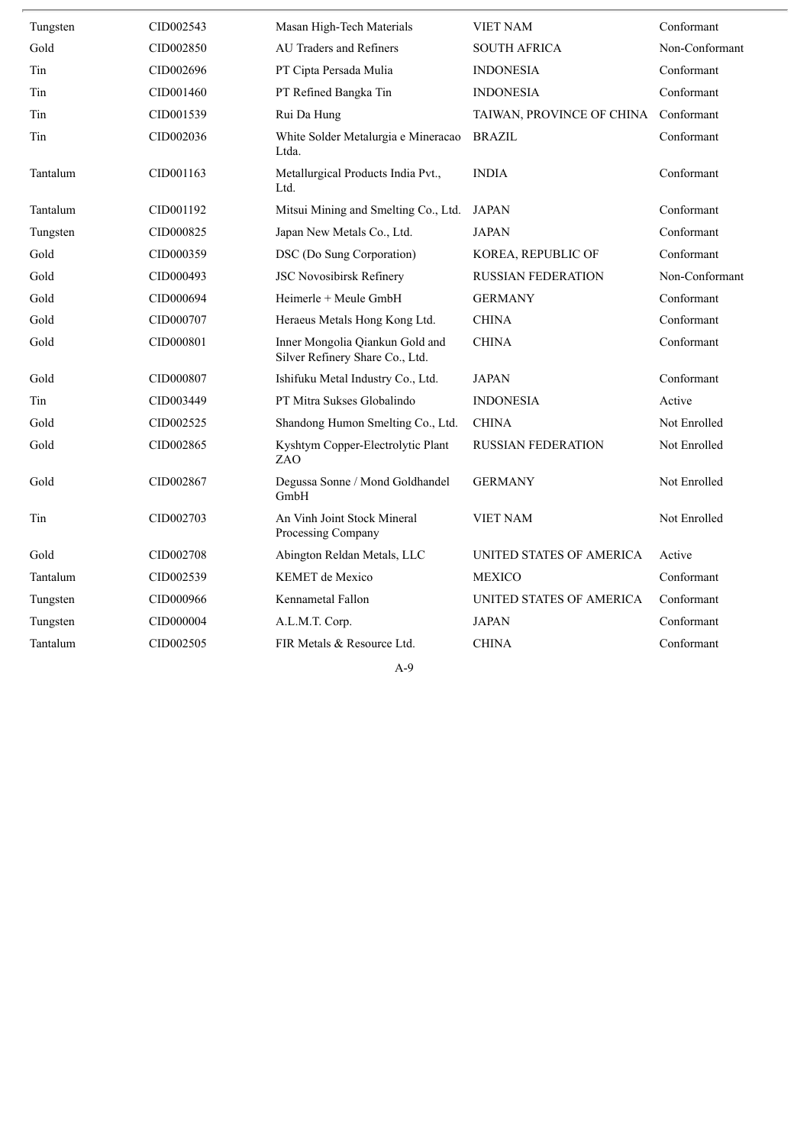| Tungsten | CID002543 | Masan High-Tech Materials                                          | <b>VIET NAM</b>           | Conformant     |
|----------|-----------|--------------------------------------------------------------------|---------------------------|----------------|
| Gold     | CID002850 | AU Traders and Refiners                                            | <b>SOUTH AFRICA</b>       | Non-Conformant |
| Tin      | CID002696 | PT Cipta Persada Mulia                                             | <b>INDONESIA</b>          | Conformant     |
| Tin      | CID001460 | PT Refined Bangka Tin                                              | <b>INDONESIA</b>          | Conformant     |
| Tin      | CID001539 | Rui Da Hung                                                        | TAIWAN, PROVINCE OF CHINA | Conformant     |
| Tin      | CID002036 | White Solder Metalurgia e Mineracao<br>Ltda.                       | <b>BRAZIL</b>             | Conformant     |
| Tantalum | CID001163 | Metallurgical Products India Pvt.,<br>Ltd.                         | <b>INDIA</b>              | Conformant     |
| Tantalum | CID001192 | Mitsui Mining and Smelting Co., Ltd.                               | <b>JAPAN</b>              | Conformant     |
| Tungsten | CID000825 | Japan New Metals Co., Ltd.                                         | <b>JAPAN</b>              | Conformant     |
| Gold     | CID000359 | DSC (Do Sung Corporation)                                          | KOREA, REPUBLIC OF        | Conformant     |
| Gold     | CID000493 | <b>JSC Novosibirsk Refinery</b>                                    | <b>RUSSIAN FEDERATION</b> | Non-Conformant |
| Gold     | CID000694 | Heimerle + Meule GmbH                                              | <b>GERMANY</b>            | Conformant     |
| Gold     | CID000707 | Heraeus Metals Hong Kong Ltd.                                      | <b>CHINA</b>              | Conformant     |
| Gold     | CID000801 | Inner Mongolia Qiankun Gold and<br>Silver Refinery Share Co., Ltd. | <b>CHINA</b>              | Conformant     |
| Gold     | CID000807 | Ishifuku Metal Industry Co., Ltd.                                  | <b>JAPAN</b>              | Conformant     |
| Tin      | CID003449 | PT Mitra Sukses Globalindo                                         | <b>INDONESIA</b>          | Active         |
| Gold     | CID002525 | Shandong Humon Smelting Co., Ltd.                                  | <b>CHINA</b>              | Not Enrolled   |
| Gold     | CID002865 | Kyshtym Copper-Electrolytic Plant<br>ZAO                           | <b>RUSSIAN FEDERATION</b> | Not Enrolled   |
| Gold     | CID002867 | Degussa Sonne / Mond Goldhandel<br>GmbH                            | <b>GERMANY</b>            | Not Enrolled   |
| Tin      | CID002703 | An Vinh Joint Stock Mineral<br>Processing Company                  | <b>VIET NAM</b>           | Not Enrolled   |
| Gold     | CID002708 | Abington Reldan Metals, LLC                                        | UNITED STATES OF AMERICA  | Active         |
| Tantalum | CID002539 | <b>KEMET</b> de Mexico                                             | <b>MEXICO</b>             | Conformant     |
| Tungsten | CID000966 | Kennametal Fallon                                                  | UNITED STATES OF AMERICA  | Conformant     |
| Tungsten | CID000004 | A.L.M.T. Corp.                                                     | <b>JAPAN</b>              | Conformant     |
| Tantalum | CID002505 | FIR Metals & Resource Ltd.                                         | <b>CHINA</b>              | Conformant     |
|          |           | $A-9$                                                              |                           |                |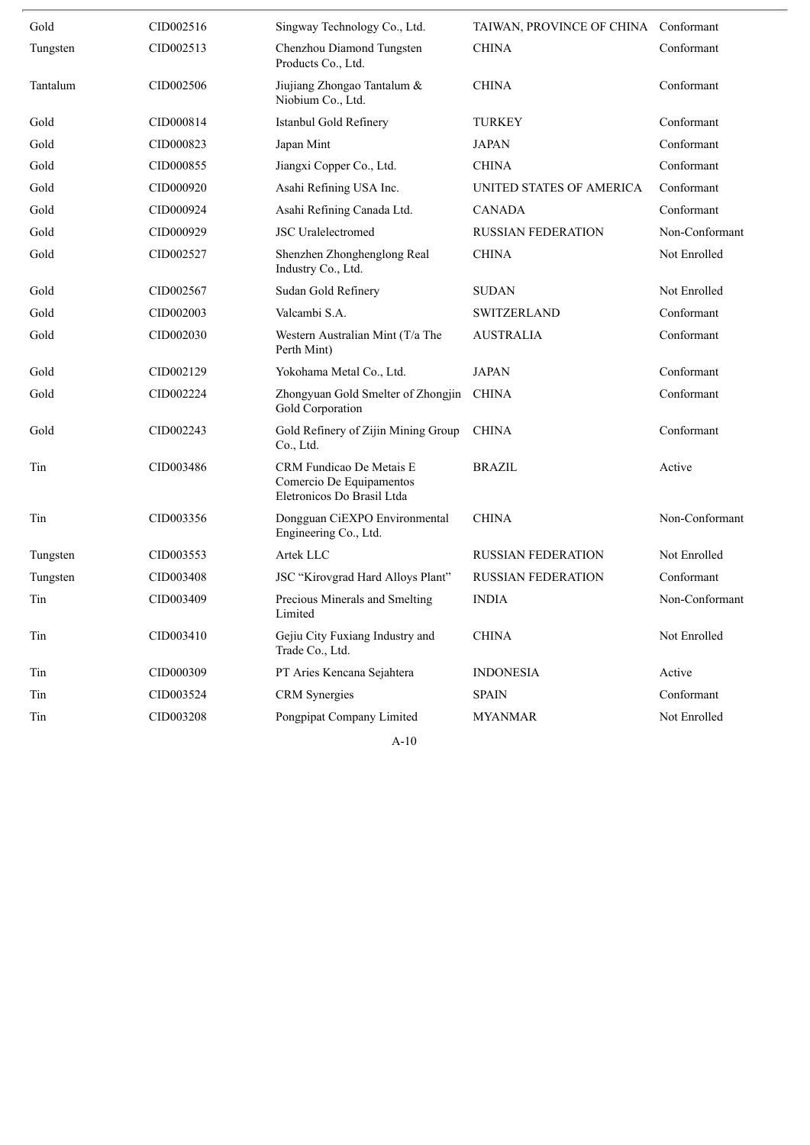| Gold     | CID002516 | Singway Technology Co., Ltd.                                                       | TAIWAN, PROVINCE OF CHINA Conformant |                |
|----------|-----------|------------------------------------------------------------------------------------|--------------------------------------|----------------|
| Tungsten | CID002513 | Chenzhou Diamond Tungsten<br>Products Co., Ltd.                                    | <b>CHINA</b>                         | Conformant     |
| Tantalum | CID002506 | Jiujiang Zhongao Tantalum &<br>Niobium Co., Ltd.                                   | <b>CHINA</b>                         | Conformant     |
| Gold     | CID000814 | Istanbul Gold Refinery                                                             | <b>TURKEY</b>                        | Conformant     |
| Gold     | CID000823 | Japan Mint                                                                         | <b>JAPAN</b>                         | Conformant     |
| Gold     | CID000855 | Jiangxi Copper Co., Ltd.                                                           | <b>CHINA</b>                         | Conformant     |
| Gold     | CID000920 | Asahi Refining USA Inc.                                                            | UNITED STATES OF AMERICA             | Conformant     |
| Gold     | CID000924 | Asahi Refining Canada Ltd.                                                         | <b>CANADA</b>                        | Conformant     |
| Gold     | CID000929 | <b>JSC</b> Uralelectromed                                                          | <b>RUSSIAN FEDERATION</b>            | Non-Conformant |
| Gold     | CID002527 | Shenzhen Zhonghenglong Real<br>Industry Co., Ltd.                                  | <b>CHINA</b>                         | Not Enrolled   |
| Gold     | CID002567 | Sudan Gold Refinery                                                                | <b>SUDAN</b>                         | Not Enrolled   |
| Gold     | CID002003 | Valcambi S.A.                                                                      | <b>SWITZERLAND</b>                   | Conformant     |
| Gold     | CID002030 | Western Australian Mint (T/a The<br>Perth Mint)                                    | <b>AUSTRALIA</b>                     | Conformant     |
| Gold     | CID002129 | Yokohama Metal Co., Ltd.                                                           | <b>JAPAN</b>                         | Conformant     |
| Gold     | CID002224 | Zhongyuan Gold Smelter of Zhongjin<br>Gold Corporation                             | <b>CHINA</b>                         | Conformant     |
| Gold     | CID002243 | Gold Refinery of Zijin Mining Group<br>Co., Ltd.                                   | <b>CHINA</b>                         | Conformant     |
| Tin      | CID003486 | CRM Fundicao De Metais E<br>Comercio De Equipamentos<br>Eletronicos Do Brasil Ltda | <b>BRAZIL</b>                        | Active         |
| Tin      | CID003356 | Dongguan CiEXPO Environmental<br>Engineering Co., Ltd.                             | <b>CHINA</b>                         | Non-Conformant |
| Tungsten | CID003553 | Artek LLC                                                                          | <b>RUSSIAN FEDERATION</b>            | Not Enrolled   |
| Tungsten | CID003408 | JSC "Kirovgrad Hard Alloys Plant"                                                  | <b>RUSSIAN FEDERATION</b>            | Conformant     |
| Tin      | CID003409 | Precious Minerals and Smelting<br>Limited                                          | <b>INDIA</b>                         | Non-Conformant |
| Tin      | CID003410 | Gejiu City Fuxiang Industry and<br>Trade Co., Ltd.                                 | <b>CHINA</b>                         | Not Enrolled   |
| Tin      | CID000309 | PT Aries Kencana Sejahtera                                                         | <b>INDONESIA</b>                     | Active         |
| Tin      | CID003524 | <b>CRM</b> Synergies                                                               | <b>SPAIN</b>                         | Conformant     |
| Tin      | CID003208 | Pongpipat Company Limited                                                          | <b>MYANMAR</b>                       | Not Enrolled   |
|          |           | $A-10$                                                                             |                                      |                |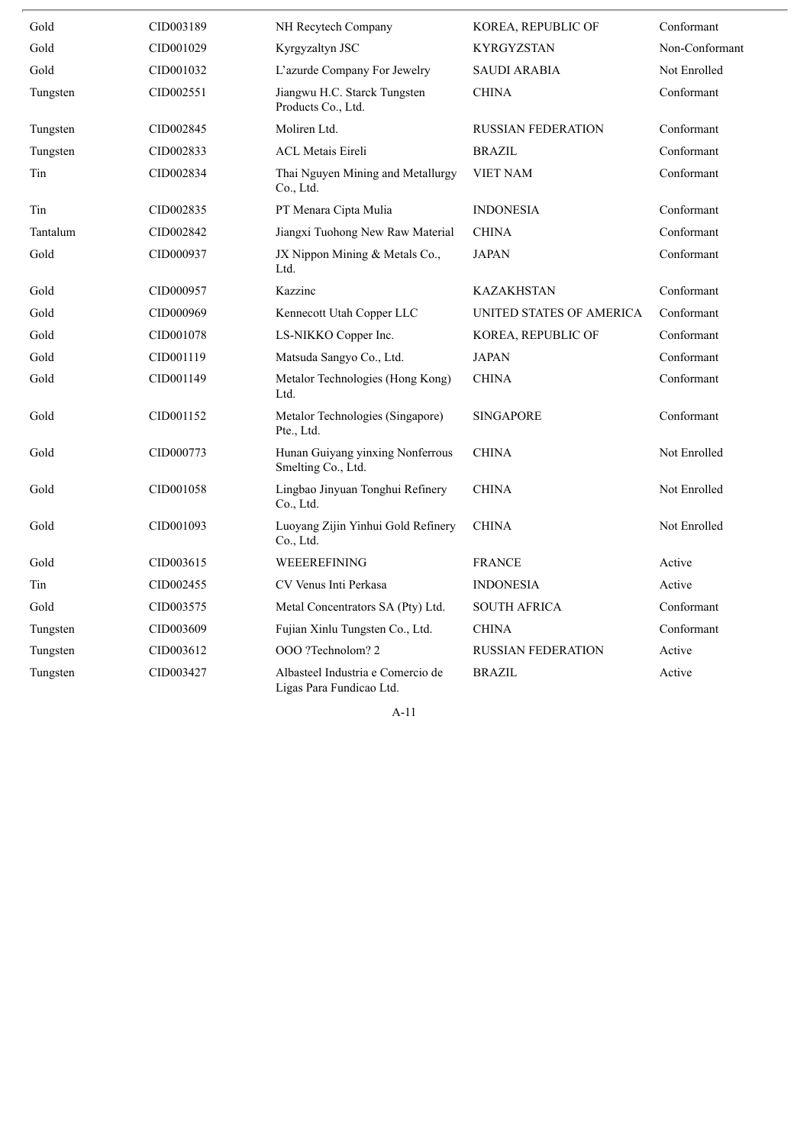| Gold     | CID003189 | NH Recytech Company                                           | KOREA, REPUBLIC OF        | Conformant     |
|----------|-----------|---------------------------------------------------------------|---------------------------|----------------|
| Gold     | CID001029 | Kyrgyzaltyn JSC                                               | KYRGYZSTAN                | Non-Conformant |
| Gold     | CID001032 | L'azurde Company For Jewelry                                  | <b>SAUDI ARABIA</b>       | Not Enrolled   |
| Tungsten | CID002551 | Jiangwu H.C. Starck Tungsten<br>Products Co., Ltd.            | <b>CHINA</b>              | Conformant     |
| Tungsten | CID002845 | Moliren Ltd.                                                  | <b>RUSSIAN FEDERATION</b> | Conformant     |
| Tungsten | CID002833 | <b>ACL Metais Eireli</b>                                      | <b>BRAZIL</b>             | Conformant     |
| Tin      | CID002834 | Thai Nguyen Mining and Metallurgy<br>Co., Ltd.                | <b>VIET NAM</b>           | Conformant     |
| Tin      | CID002835 | PT Menara Cipta Mulia                                         | <b>INDONESIA</b>          | Conformant     |
| Tantalum | CID002842 | Jiangxi Tuohong New Raw Material                              | <b>CHINA</b>              | Conformant     |
| Gold     | CID000937 | JX Nippon Mining & Metals Co.,<br>Ltd.                        | <b>JAPAN</b>              | Conformant     |
| Gold     | CID000957 | Kazzinc                                                       | <b>KAZAKHSTAN</b>         | Conformant     |
| Gold     | CID000969 | Kennecott Utah Copper LLC                                     | UNITED STATES OF AMERICA  | Conformant     |
| Gold     | CID001078 | LS-NIKKO Copper Inc.                                          | KOREA, REPUBLIC OF        | Conformant     |
| Gold     | CID001119 | Matsuda Sangyo Co., Ltd.                                      | <b>JAPAN</b>              | Conformant     |
| Gold     | CID001149 | Metalor Technologies (Hong Kong)<br>Ltd.                      | <b>CHINA</b>              | Conformant     |
| Gold     | CID001152 | Metalor Technologies (Singapore)<br>Pte., Ltd.                | <b>SINGAPORE</b>          | Conformant     |
| Gold     | CID000773 | Hunan Guiyang yinxing Nonferrous<br>Smelting Co., Ltd.        | <b>CHINA</b>              | Not Enrolled   |
| Gold     | CID001058 | Lingbao Jinyuan Tonghui Refinery<br>Co., Ltd.                 | <b>CHINA</b>              | Not Enrolled   |
| Gold     | CID001093 | Luoyang Zijin Yinhui Gold Refinery<br>Co., Ltd.               | <b>CHINA</b>              | Not Enrolled   |
| Gold     | CID003615 | WEEEREFINING                                                  | <b>FRANCE</b>             | Active         |
| Tin      | CID002455 | CV Venus Inti Perkasa                                         | <b>INDONESIA</b>          | Active         |
| Gold     | CID003575 | Metal Concentrators SA (Pty) Ltd.                             | <b>SOUTH AFRICA</b>       | Conformant     |
| Tungsten | CID003609 | Fujian Xinlu Tungsten Co., Ltd.                               | <b>CHINA</b>              | Conformant     |
| Tungsten | CID003612 | OOO ?Technolom? 2                                             | <b>RUSSIAN FEDERATION</b> | Active         |
| Tungsten | CID003427 | Albasteel Industria e Comercio de<br>Ligas Para Fundicao Ltd. | <b>BRAZIL</b>             | Active         |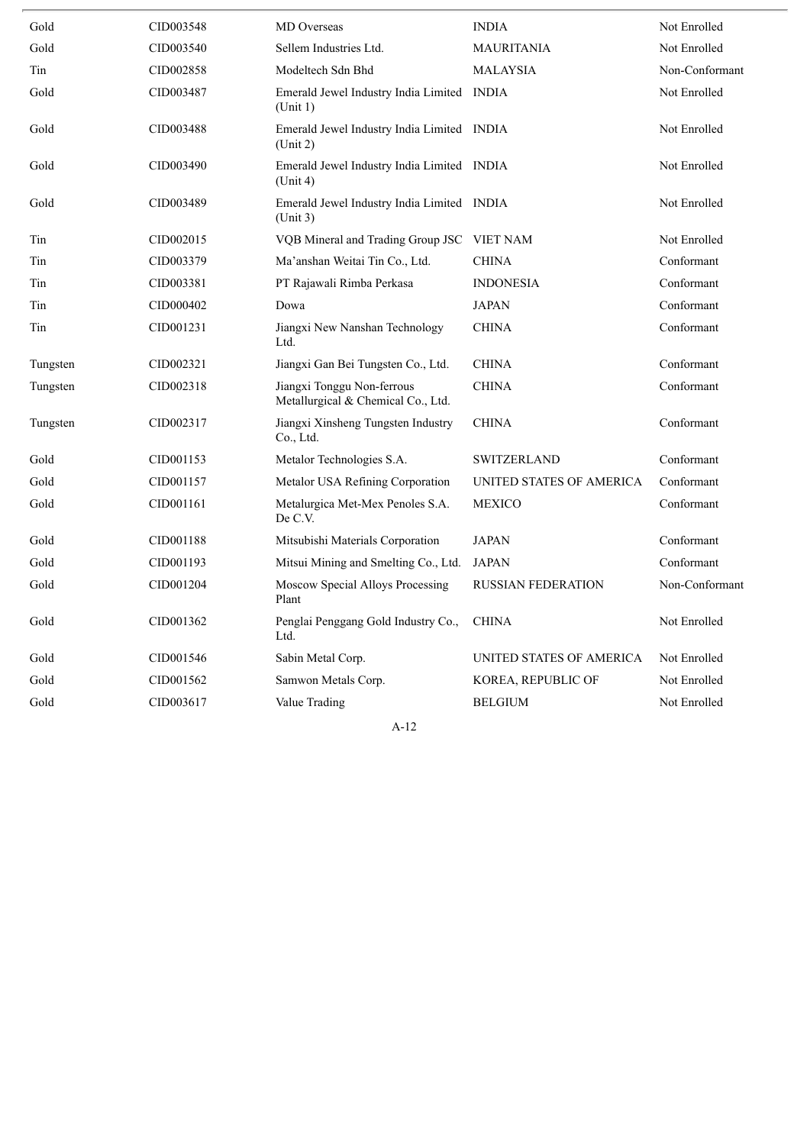| Gold     | CID003548 | MD Overseas                                                      | <b>INDIA</b>              | Not Enrolled   |
|----------|-----------|------------------------------------------------------------------|---------------------------|----------------|
| Gold     | CID003540 | Sellem Industries Ltd.                                           | <b>MAURITANIA</b>         | Not Enrolled   |
| Tin      | CID002858 | Modeltech Sdn Bhd                                                | <b>MALAYSIA</b>           | Non-Conformant |
| Gold     | CID003487 | Emerald Jewel Industry India Limited INDIA<br>(Unit 1)           |                           | Not Enrolled   |
| Gold     | CID003488 | Emerald Jewel Industry India Limited INDIA<br>(Unit 2)           |                           | Not Enrolled   |
| Gold     | CID003490 | Emerald Jewel Industry India Limited INDIA<br>(Unit 4)           |                           | Not Enrolled   |
| Gold     | CID003489 | Emerald Jewel Industry India Limited INDIA<br>(Unit 3)           |                           | Not Enrolled   |
| Tin      | CID002015 | VQB Mineral and Trading Group JSC VIET NAM                       |                           | Not Enrolled   |
| Tin      | CID003379 | Ma'anshan Weitai Tin Co., Ltd.                                   | <b>CHINA</b>              | Conformant     |
| Tin      | CID003381 | PT Rajawali Rimba Perkasa                                        | <b>INDONESIA</b>          | Conformant     |
| Tin      | CID000402 | Dowa                                                             | <b>JAPAN</b>              | Conformant     |
| Tin      | CID001231 | Jiangxi New Nanshan Technology<br>Ltd.                           | <b>CHINA</b>              | Conformant     |
| Tungsten | CID002321 | Jiangxi Gan Bei Tungsten Co., Ltd.                               | <b>CHINA</b>              | Conformant     |
| Tungsten | CID002318 | Jiangxi Tonggu Non-ferrous<br>Metallurgical & Chemical Co., Ltd. | <b>CHINA</b>              | Conformant     |
| Tungsten | CID002317 | Jiangxi Xinsheng Tungsten Industry<br>Co., Ltd.                  | <b>CHINA</b>              | Conformant     |
| Gold     | CID001153 | Metalor Technologies S.A.                                        | <b>SWITZERLAND</b>        | Conformant     |
| Gold     | CID001157 | Metalor USA Refining Corporation                                 | UNITED STATES OF AMERICA  | Conformant     |
| Gold     | CID001161 | Metalurgica Met-Mex Penoles S.A.<br>De C.V.                      | <b>MEXICO</b>             | Conformant     |
| Gold     | CID001188 | Mitsubishi Materials Corporation                                 | <b>JAPAN</b>              | Conformant     |
| Gold     | CID001193 | Mitsui Mining and Smelting Co., Ltd.                             | <b>JAPAN</b>              | Conformant     |
| Gold     | CID001204 | Moscow Special Alloys Processing<br>Plant                        | <b>RUSSIAN FEDERATION</b> | Non-Conformant |
| Gold     | CID001362 | Penglai Penggang Gold Industry Co.,<br>Ltd.                      | <b>CHINA</b>              | Not Enrolled   |
| Gold     | CID001546 | Sabin Metal Corp.                                                | UNITED STATES OF AMERICA  | Not Enrolled   |
| Gold     | CID001562 | Samwon Metals Corp.                                              | KOREA, REPUBLIC OF        | Not Enrolled   |
| Gold     | CID003617 | Value Trading                                                    | <b>BELGIUM</b>            | Not Enrolled   |
|          |           |                                                                  |                           |                |

 $\overline{\phantom{a}}$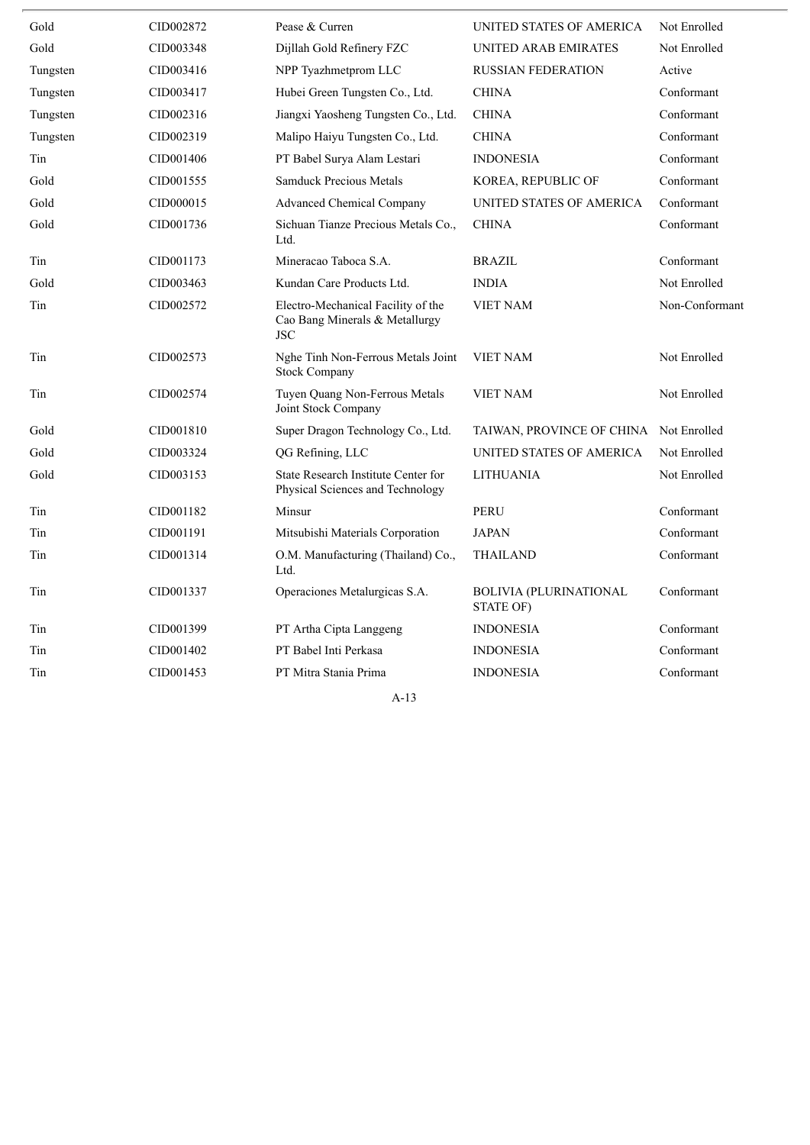| Gold     | CID002872 | Pease & Curren                                                                     | UNITED STATES OF AMERICA                   | Not Enrolled   |
|----------|-----------|------------------------------------------------------------------------------------|--------------------------------------------|----------------|
| Gold     | CID003348 | Dijllah Gold Refinery FZC                                                          | UNITED ARAB EMIRATES                       | Not Enrolled   |
| Tungsten | CID003416 | NPP Tyazhmetprom LLC                                                               | <b>RUSSIAN FEDERATION</b>                  | Active         |
| Tungsten | CID003417 | Hubei Green Tungsten Co., Ltd.                                                     | <b>CHINA</b>                               | Conformant     |
| Tungsten | CID002316 | Jiangxi Yaosheng Tungsten Co., Ltd.                                                | <b>CHINA</b>                               | Conformant     |
| Tungsten | CID002319 | Malipo Haiyu Tungsten Co., Ltd.                                                    | <b>CHINA</b>                               | Conformant     |
| Tin      | CID001406 | PT Babel Surya Alam Lestari                                                        | <b>INDONESIA</b>                           | Conformant     |
| Gold     | CID001555 | <b>Samduck Precious Metals</b>                                                     | KOREA, REPUBLIC OF                         | Conformant     |
| Gold     | CID000015 | <b>Advanced Chemical Company</b>                                                   | UNITED STATES OF AMERICA                   | Conformant     |
| Gold     | CID001736 | Sichuan Tianze Precious Metals Co.,<br>Ltd.                                        | <b>CHINA</b>                               | Conformant     |
| Tin      | CID001173 | Mineracao Taboca S.A.                                                              | <b>BRAZIL</b>                              | Conformant     |
| Gold     | CID003463 | Kundan Care Products Ltd.                                                          | <b>INDIA</b>                               | Not Enrolled   |
| Tin      | CID002572 | Electro-Mechanical Facility of the<br>Cao Bang Minerals & Metallurgy<br><b>JSC</b> | <b>VIET NAM</b>                            | Non-Conformant |
| Tin      | CID002573 | Nghe Tinh Non-Ferrous Metals Joint<br><b>Stock Company</b>                         | <b>VIET NAM</b>                            | Not Enrolled   |
| Tin      | CID002574 | Tuyen Quang Non-Ferrous Metals<br>Joint Stock Company                              | <b>VIET NAM</b>                            | Not Enrolled   |
| Gold     | CID001810 | Super Dragon Technology Co., Ltd.                                                  | TAIWAN, PROVINCE OF CHINA                  | Not Enrolled   |
| Gold     | CID003324 | QG Refining, LLC                                                                   | UNITED STATES OF AMERICA                   | Not Enrolled   |
| Gold     | CID003153 | State Research Institute Center for<br>Physical Sciences and Technology            | LITHUANIA                                  | Not Enrolled   |
| Tin      | CID001182 | Minsur                                                                             | <b>PERU</b>                                | Conformant     |
| Tin      | CID001191 | Mitsubishi Materials Corporation                                                   | <b>JAPAN</b>                               | Conformant     |
| Tin      | CID001314 | O.M. Manufacturing (Thailand) Co.,<br>Ltd.                                         | <b>THAILAND</b>                            | Conformant     |
| Tin      | CID001337 | Operaciones Metalurgicas S.A.                                                      | <b>BOLIVIA (PLURINATIONAL</b><br>STATE OF) | Conformant     |
| Tin      | CID001399 | PT Artha Cipta Langgeng                                                            | <b>INDONESIA</b>                           | Conformant     |
| Tin      | CID001402 | PT Babel Inti Perkasa                                                              | <b>INDONESIA</b>                           | Conformant     |
| Tin      | CID001453 | PT Mitra Stania Prima                                                              | <b>INDONESIA</b>                           | Conformant     |
|          |           |                                                                                    |                                            |                |